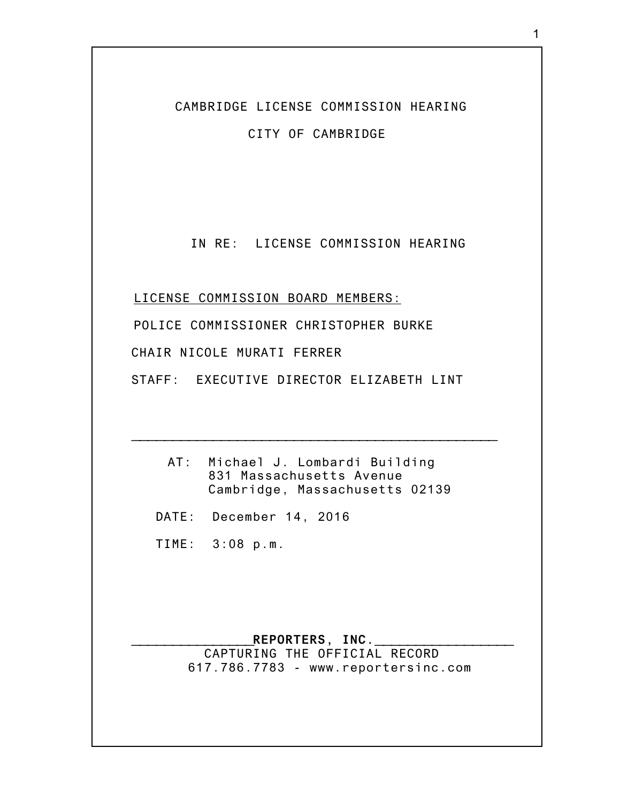CAMBRIDGE LICENSE COMMISSION HEARING

CITY OF CAMBRIDGE

IN RE: LICENSE COMMISSION HEARING

LICENSE COMMISSION BOARD MEMBERS: POLICE COMMISSIONER CHRISTOPHER BURKE CHAIR NICOLE MURATI FERRER STAFF: EXECUTIVE DIRECTOR ELIZABETH LINT

> AT: Michael J. Lombardi Building 831 Massachusetts Avenue Cambridge, Massachusetts 02139

**\_\_\_\_\_\_\_\_\_\_\_\_\_\_\_\_\_\_\_\_\_\_\_\_\_\_\_\_\_\_\_\_\_\_\_\_\_\_\_\_\_\_\_\_\_**

DATE: December 14, 2016

TIME: 3:08 p.m.

## **\_\_\_\_\_\_\_\_\_\_\_\_\_\_\_REPORTERS, INC.\_\_\_\_\_\_\_\_\_\_\_\_\_\_\_\_\_** CAPTURING THE OFFICIAL RECORD 617.786.7783 - www.reportersinc.com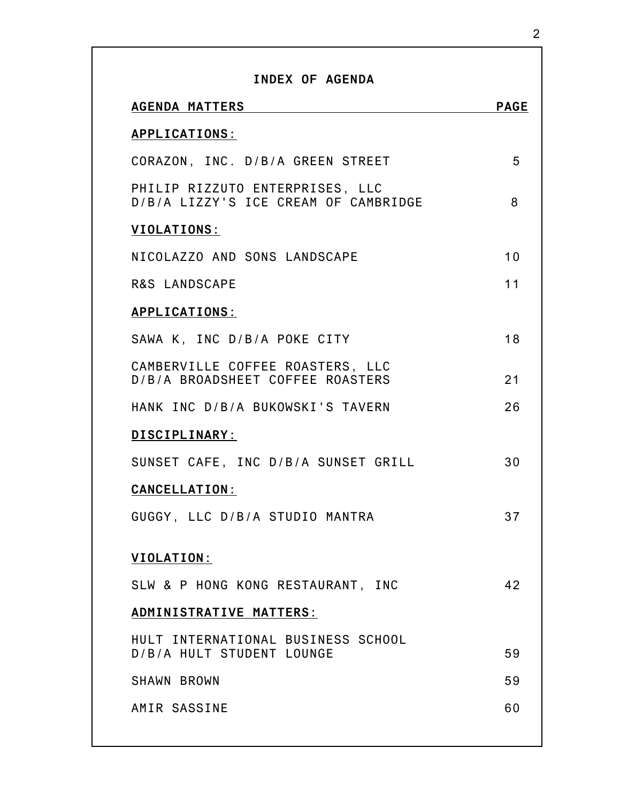| INDEX OF AGENDA                                                         |             |
|-------------------------------------------------------------------------|-------------|
| <b>AGENDA MATTERS</b>                                                   | <b>PAGE</b> |
| <b>APPLICATIONS:</b>                                                    |             |
| CORAZON, INC. D/B/A GREEN STREET                                        | 5           |
| PHILIP RIZZUTO ENTERPRISES, LLC<br>D/B/A LIZZY'S ICE CREAM OF CAMBRIDGE | 8           |
| <b>VIOLATIONS:</b>                                                      |             |
| NICOLAZZO AND SONS LANDSCAPE                                            | 10          |
| <b>R&amp;S LANDSCAPE</b>                                                | 11          |
| <b>APPLICATIONS:</b>                                                    |             |
| SAWA K. INC D/B/A POKE CITY                                             | 18          |
| CAMBERVILLE COFFEE ROASTERS, LLC<br>D/B/A BROADSHEET COFFEE ROASTERS    | 21          |
| HANK INC D/B/A BUKOWSKI'S TAVERN                                        | 26          |
| DISCIPLINARY:                                                           |             |
| SUNSET CAFE, INC D/B/A SUNSET GRILL                                     | 30          |
| <b>CANCELLATION:</b>                                                    |             |
| GUGGY, LLC D/B/A STUDIO MANTRA                                          | 37          |
| VIOLATION:                                                              |             |
| SLW & P HONG KONG RESTAURANT, INC                                       | 42          |
| ADMINISTRATIVE MATTERS:                                                 |             |
| HULT INTERNATIONAL BUSINESS SCHOOL<br>D/B/A HULT STUDENT LOUNGE         | 59          |
| <b>SHAWN BROWN</b>                                                      | 59          |
| AMIR SASSINE                                                            | 60          |
|                                                                         |             |

2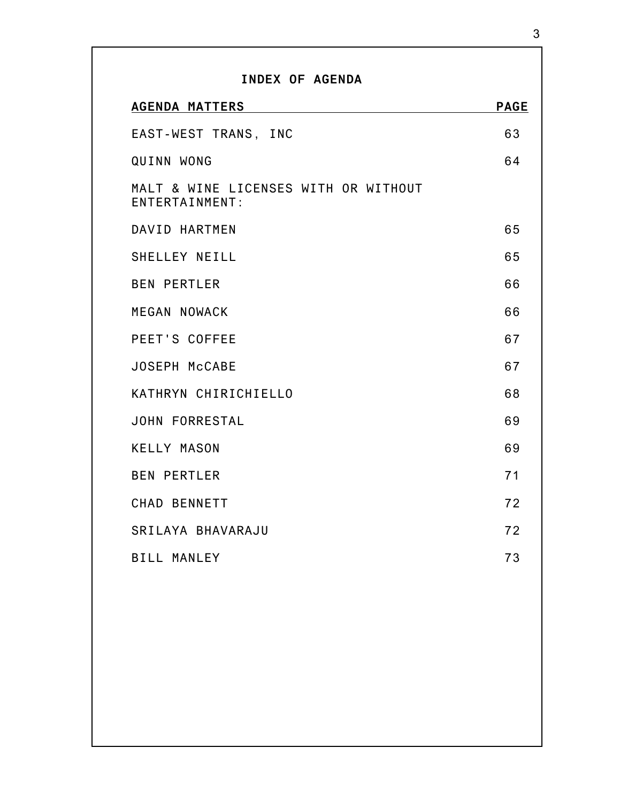| <b>PAGE</b> |
|-------------|
| 63          |
| 64          |
|             |
| 65          |
| 65          |
| 66          |
| 66          |
| 67          |
| 67          |
| 68          |
| 69          |
| 69          |
| 71          |
| 72          |
| 72          |
| 73          |
|             |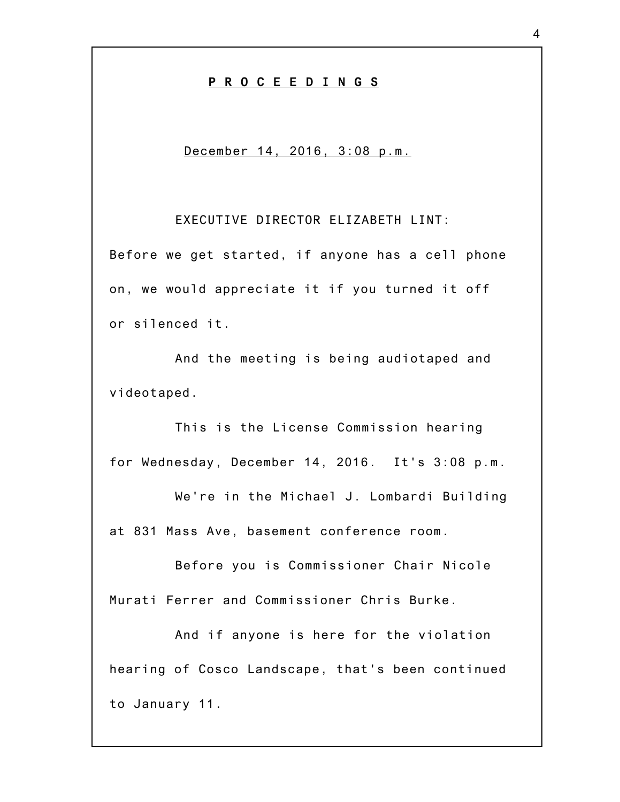## **P R O C E E D I N G S**

## December 14, 2016, 3:08 p.m.

EXECUTIVE DIRECTOR ELIZABETH LINT:

Before we get started, if anyone has a cell phone on, we would appreciate it if you turned it off or silenced it.

And the meeting is being audiotaped and videotaped.

This is the License Commission hearing for Wednesday, December 14, 2016. It's 3:08 p.m.

We're in the Michael J. Lombardi Building at 831 Mass Ave, basement conference room.

Before you is Commissioner Chair Nicole Murati Ferrer and Commissioner Chris Burke.

And if anyone is here for the violation hearing of Cosco Landscape, that's been continued to January 11.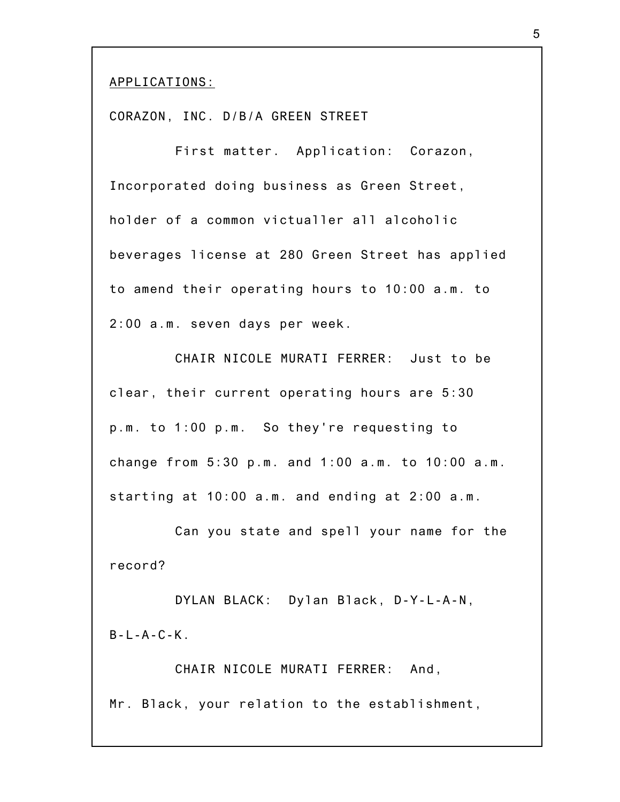APPLICATIONS:

CORAZON, INC. D/B/A GREEN STREET

First matter. Application: Corazon, Incorporated doing business as Green Street, holder of a common victualler all alcoholic beverages license at 280 Green Street has applied to amend their operating hours to 10:00 a.m. to 2:00 a.m. seven days per week.

CHAIR NICOLE MURATI FERRER: Just to be clear, their current operating hours are 5:30 p.m. to 1:00 p.m. So they're requesting to change from 5:30 p.m. and 1:00 a.m. to 10:00 a.m. starting at 10:00 a.m. and ending at 2:00 a.m.

Can you state and spell your name for the record?

DYLAN BLACK: Dylan Black, D-Y-L-A-N,  $B-I - A - C - K$ .

CHAIR NICOLE MURATI FERRER: And, Mr. Black, your relation to the establishment,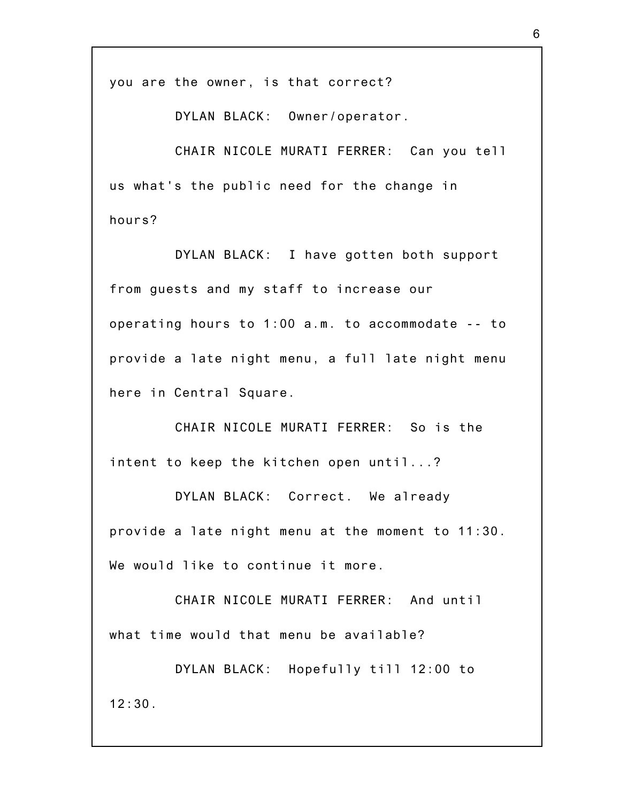you are the owner, is that correct?

DYLAN BLACK: Owner/operator.

CHAIR NICOLE MURATI FERRER: Can you tell us what's the public need for the change in hours?

DYLAN BLACK: I have gotten both support from guests and my staff to increase our operating hours to 1:00 a.m. to accommodate -- to provide a late night menu, a full late night menu here in Central Square.

CHAIR NICOLE MURATI FERRER: So is the intent to keep the kitchen open until...?

DYLAN BLACK: Correct. We already provide a late night menu at the moment to 11:30. We would like to continue it more.

CHAIR NICOLE MURATI FERRER: And until what time would that menu be available?

DYLAN BLACK: Hopefully till 12:00 to  $12:30.$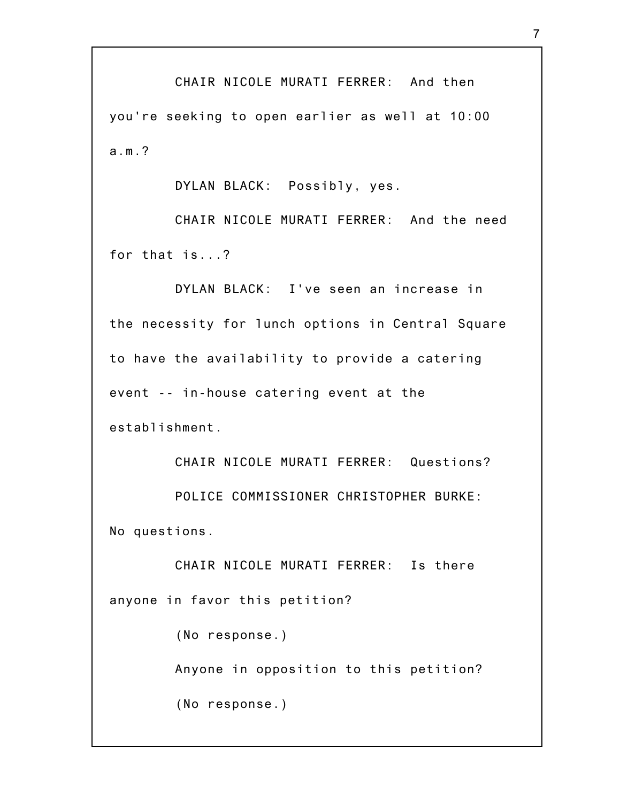CHAIR NICOLE MURATI FERRER: And then you're seeking to open earlier as well at 10:00 a.m.?

DYLAN BLACK: Possibly, yes.

CHAIR NICOLE MURATI FERRER: And the need for that is...?

DYLAN BLACK: I've seen an increase in the necessity for lunch options in Central Square to have the availability to provide a catering event -- in-house catering event at the establishment.

CHAIR NICOLE MURATI FERRER: Questions? POLICE COMMISSIONER CHRISTOPHER BURKE: No questions.

CHAIR NICOLE MURATI FERRER: Is there anyone in favor this petition?

(No response.)

Anyone in opposition to this petition?

(No response.)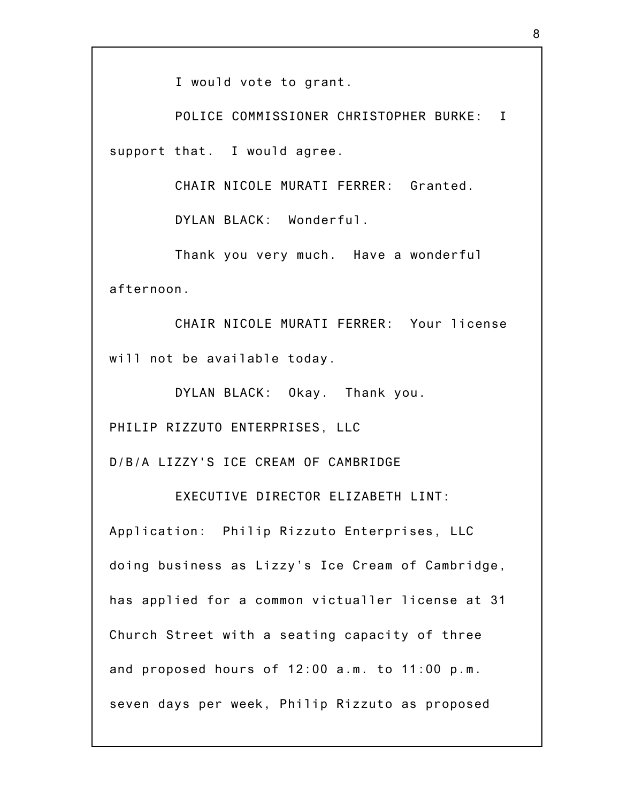I would vote to grant.

POLICE COMMISSIONER CHRISTOPHER BURKE: I support that. I would agree.

CHAIR NICOLE MURATI FERRER: Granted.

DYLAN BLACK: Wonderful.

Thank you very much. Have a wonderful afternoon.

CHAIR NICOLE MURATI FERRER: Your license will not be available today.

DYLAN BLACK: Okay. Thank you.

PHILIP RIZZUTO ENTERPRISES, LLC

D/B/A LIZZY'S ICE CREAM OF CAMBRIDGE

EXECUTIVE DIRECTOR ELIZABETH LINT:

Application: Philip Rizzuto Enterprises, LLC doing business as Lizzy's Ice Cream of Cambridge, has applied for a common victualler license at 31 Church Street with a seating capacity of three and proposed hours of 12:00 a.m. to 11:00 p.m. seven days per week, Philip Rizzuto as proposed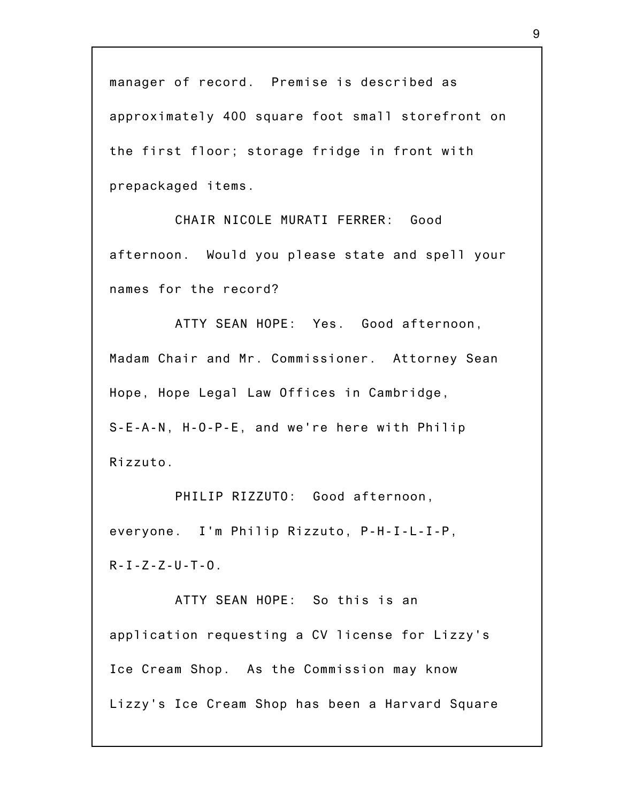manager of record. Premise is described as approximately 400 square foot small storefront on the first floor; storage fridge in front with prepackaged items.

CHAIR NICOLE MURATI FERRER: Good afternoon. Would you please state and spell your names for the record?

ATTY SEAN HOPE: Yes. Good afternoon, Madam Chair and Mr. Commissioner. Attorney Sean Hope, Hope Legal Law Offices in Cambridge, S-E-A-N, H-O-P-E, and we're here with Philip Rizzuto.

PHILIP RIZZUTO: Good afternoon, everyone. I'm Philip Rizzuto, P-H-I-L-I-P, R-I-Z-Z-U-T-O.

ATTY SEAN HOPE: So this is an application requesting a CV license for Lizzy's Ice Cream Shop. As the Commission may know Lizzy's Ice Cream Shop has been a Harvard Square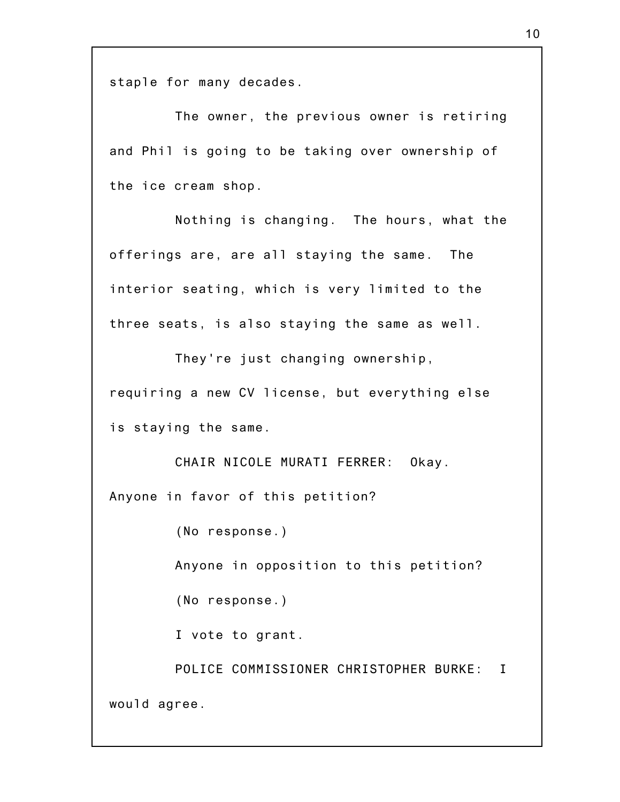staple for many decades.

The owner, the previous owner is retiring and Phil is going to be taking over ownership of the ice cream shop.

Nothing is changing. The hours, what the offerings are, are all staying the same. The interior seating, which is very limited to the three seats, is also staying the same as well.

They're just changing ownership,

requiring a new CV license, but everything else is staying the same.

CHAIR NICOLE MURATI FERRER: Okay. Anyone in favor of this petition?

(No response.)

Anyone in opposition to this petition?

(No response.)

I vote to grant.

POLICE COMMISSIONER CHRISTOPHER BURKE: I would agree.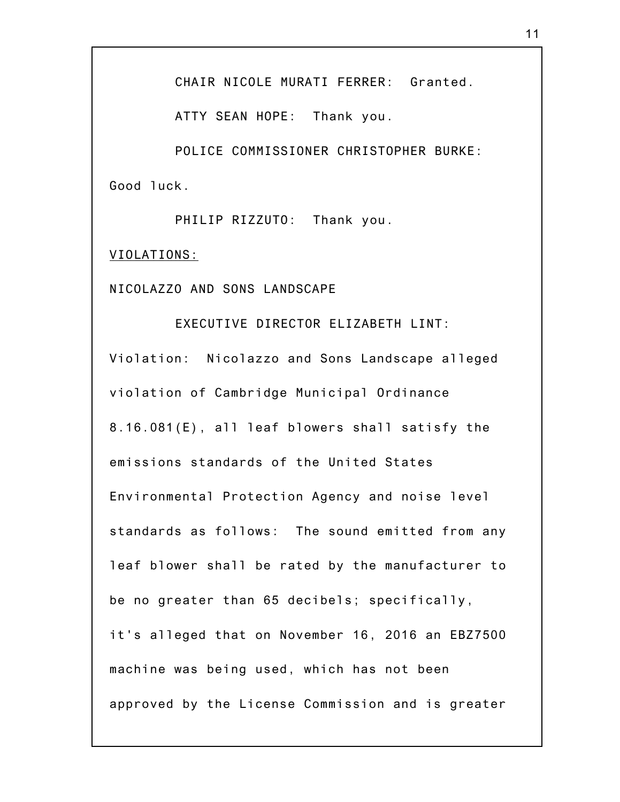CHAIR NICOLE MURATI FERRER: Granted.

ATTY SEAN HOPE: Thank you.

POLICE COMMISSIONER CHRISTOPHER BURKE: Good luck.

PHILIP RIZZUTO: Thank you.

VIOLATIONS:

NICOLAZZO AND SONS LANDSCAPE

EXECUTIVE DIRECTOR ELIZABETH LINT: Violation: Nicolazzo and Sons Landscape alleged violation of Cambridge Municipal Ordinance 8.16.081(E), all leaf blowers shall satisfy the emissions standards of the United States Environmental Protection Agency and noise level standards as follows: The sound emitted from any leaf blower shall be rated by the manufacturer to be no greater than 65 decibels; specifically, it's alleged that on November 16, 2016 an EBZ7500 machine was being used, which has not been approved by the License Commission and is greater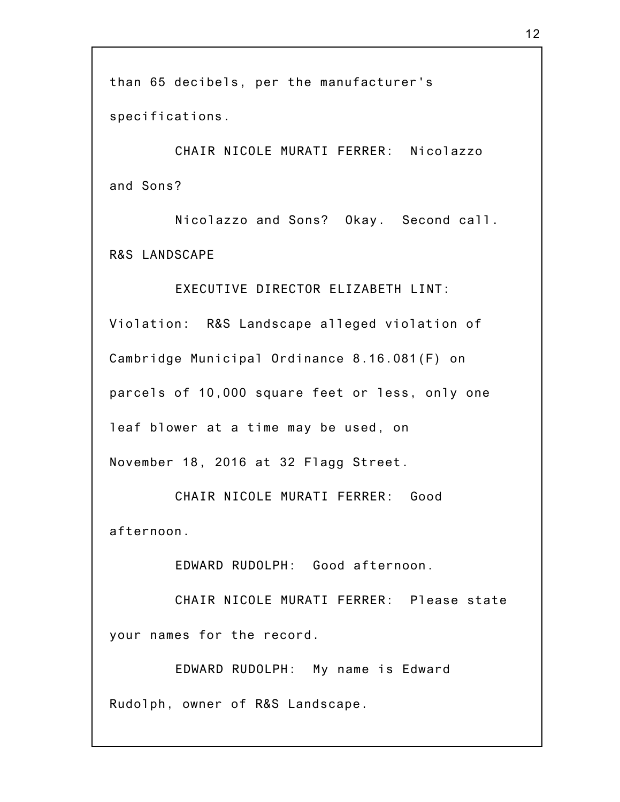than 65 decibels, per the manufacturer's specifications.

CHAIR NICOLE MURATI FERRER: Nicolazzo and Sons?

Nicolazzo and Sons? Okay. Second call. R&S LANDSCAPE

EXECUTIVE DIRECTOR ELIZABETH LINT: Violation: R&S Landscape alleged violation of Cambridge Municipal Ordinance 8.16.081(F) on parcels of 10,000 square feet or less, only one leaf blower at a time may be used, on November 18, 2016 at 32 Flagg Street.

CHAIR NICOLE MURATI FERRER: Good afternoon.

EDWARD RUDOLPH: Good afternoon.

CHAIR NICOLE MURATI FERRER: Please state your names for the record.

EDWARD RUDOLPH: My name is Edward Rudolph, owner of R&S Landscape.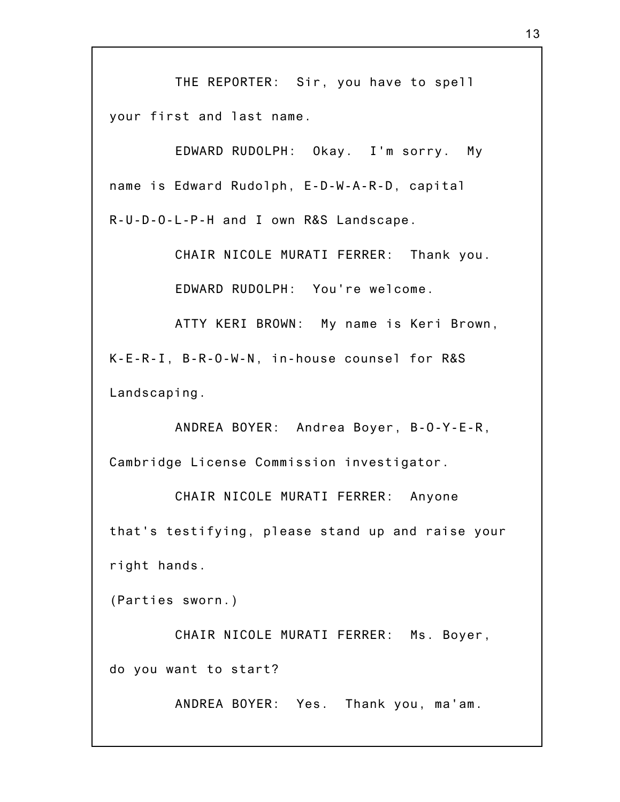THE REPORTER: Sir, you have to spell your first and last name.

EDWARD RUDOLPH: Okay. I'm sorry. My name is Edward Rudolph, E-D-W-A-R-D, capital R-U-D-O-L-P-H and I own R&S Landscape.

CHAIR NICOLE MURATI FERRER: Thank you.

EDWARD RUDOLPH: You're welcome.

ATTY KERI BROWN: My name is Keri Brown, K-E-R-I, B-R-O-W-N, in-house counsel for R&S Landscaping.

ANDREA BOYER: Andrea Boyer, B-O-Y-E-R, Cambridge License Commission investigator.

CHAIR NICOLE MURATI FERRER: Anyone that's testifying, please stand up and raise your right hands.

(Parties sworn.)

CHAIR NICOLE MURATI FERRER: Ms. Boyer, do you want to start?

ANDREA BOYER: Yes. Thank you, ma'am.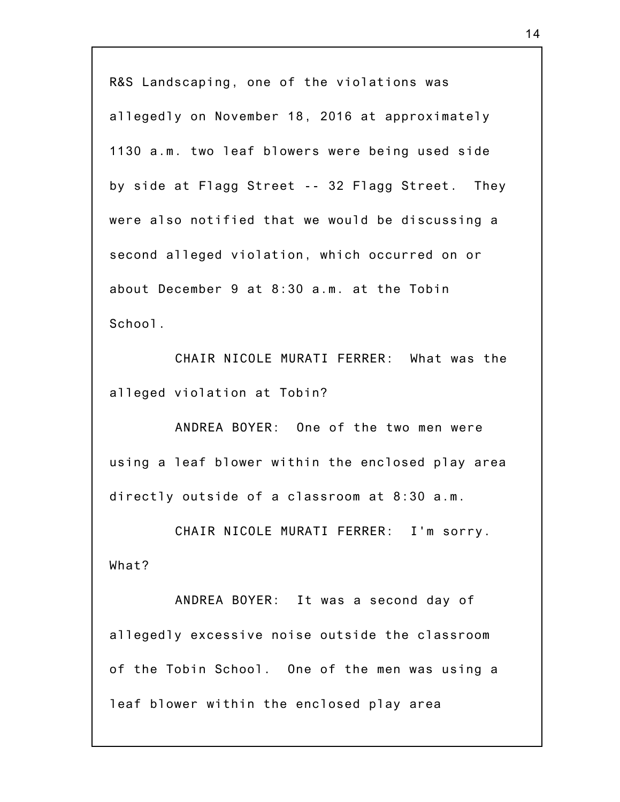R&S Landscaping, one of the violations was allegedly on November 18, 2016 at approximately 1130 a.m. two leaf blowers were being used side by side at Flagg Street -- 32 Flagg Street. They were also notified that we would be discussing a second alleged violation, which occurred on or about December 9 at 8:30 a.m. at the Tobin School.

CHAIR NICOLE MURATI FERRER: What was the alleged violation at Tobin?

ANDREA BOYER: One of the two men were using a leaf blower within the enclosed play area directly outside of a classroom at 8:30 a.m.

CHAIR NICOLE MURATI FERRER: I'm sorry. What?

ANDREA BOYER: It was a second day of allegedly excessive noise outside the classroom of the Tobin School. One of the men was using a leaf blower within the enclosed play area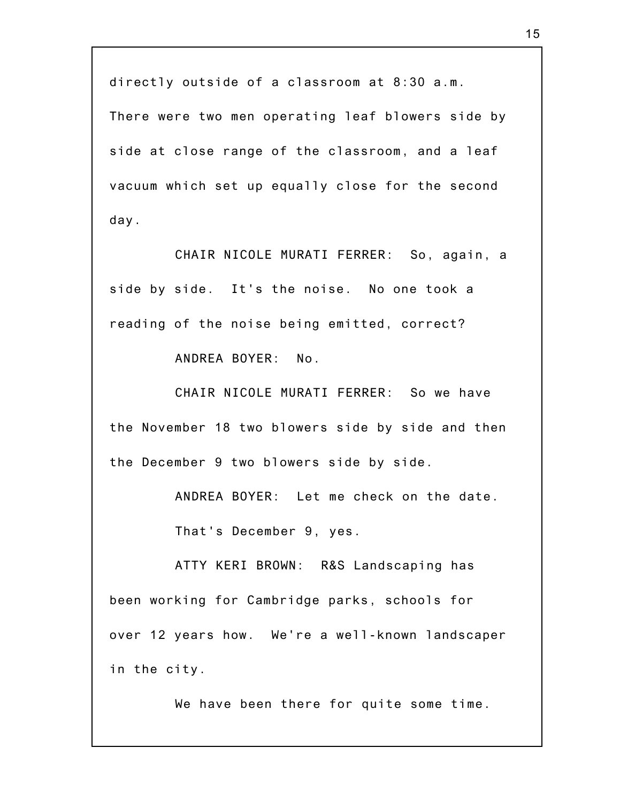directly outside of a classroom at 8:30 a.m.

There were two men operating leaf blowers side by side at close range of the classroom, and a leaf vacuum which set up equally close for the second day.

CHAIR NICOLE MURATI FERRER: So, again, a side by side. It's the noise. No one took a reading of the noise being emitted, correct?

ANDREA BOYER: No.

CHAIR NICOLE MURATI FERRER: So we have the November 18 two blowers side by side and then the December 9 two blowers side by side.

ANDREA BOYER: Let me check on the date.

That's December 9, yes.

ATTY KERI BROWN: R&S Landscaping has been working for Cambridge parks, schools for over 12 years how. We're a well-known landscaper in the city.

We have been there for quite some time.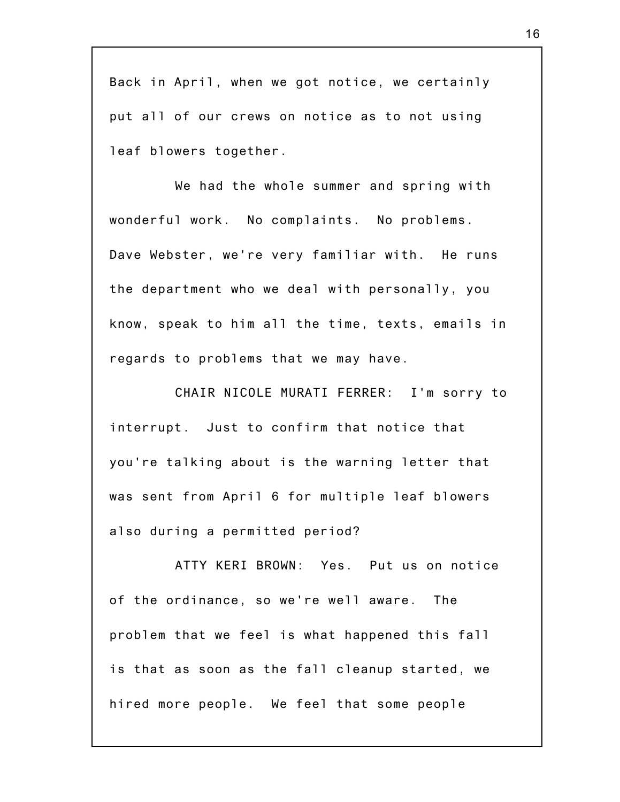Back in April, when we got notice, we certainly put all of our crews on notice as to not using leaf blowers together.

We had the whole summer and spring with wonderful work. No complaints. No problems. Dave Webster, we're very familiar with. He runs the department who we deal with personally, you know, speak to him all the time, texts, emails in regards to problems that we may have.

CHAIR NICOLE MURATI FERRER: I'm sorry to interrupt. Just to confirm that notice that you're talking about is the warning letter that was sent from April 6 for multiple leaf blowers also during a permitted period?

ATTY KERI BROWN: Yes. Put us on notice of the ordinance, so we're well aware. The problem that we feel is what happened this fall is that as soon as the fall cleanup started, we hired more people. We feel that some people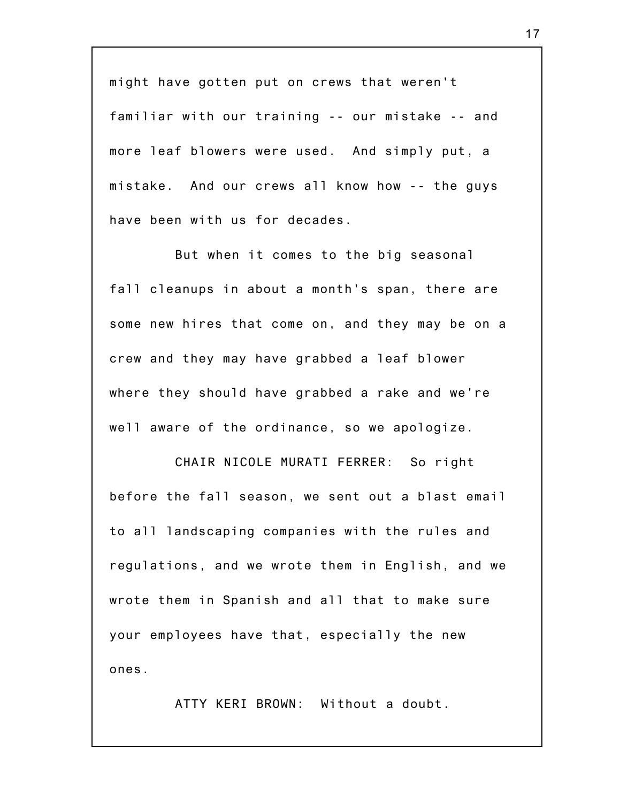might have gotten put on crews that weren't familiar with our training -- our mistake -- and more leaf blowers were used. And simply put, a mistake. And our crews all know how -- the guys have been with us for decades.

But when it comes to the big seasonal fall cleanups in about a month's span, there are some new hires that come on, and they may be on a crew and they may have grabbed a leaf blower where they should have grabbed a rake and we're well aware of the ordinance, so we apologize.

CHAIR NICOLE MURATI FERRER: So right before the fall season, we sent out a blast email to all landscaping companies with the rules and regulations, and we wrote them in English, and we wrote them in Spanish and all that to make sure your employees have that, especially the new ones.

ATTY KERI BROWN: Without a doubt.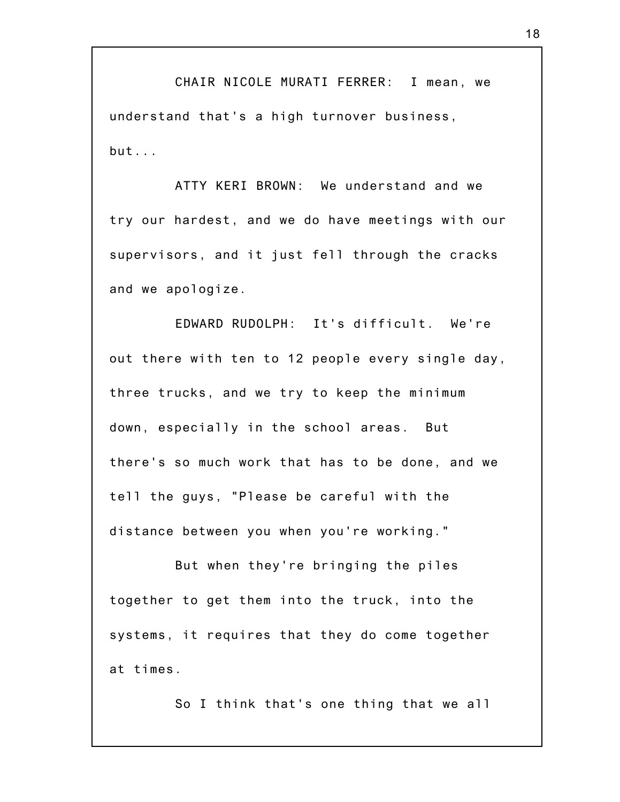CHAIR NICOLE MURATI FERRER: I mean, we understand that's a high turnover business, but...

ATTY KERI BROWN: We understand and we try our hardest, and we do have meetings with our supervisors, and it just fell through the cracks and we apologize.

EDWARD RUDOLPH: It's difficult. We're out there with ten to 12 people every single day, three trucks, and we try to keep the minimum down, especially in the school areas. But there's so much work that has to be done, and we tell the guys, "Please be careful with the distance between you when you're working."

But when they're bringing the piles together to get them into the truck, into the systems, it requires that they do come together at times.

So I think that's one thing that we all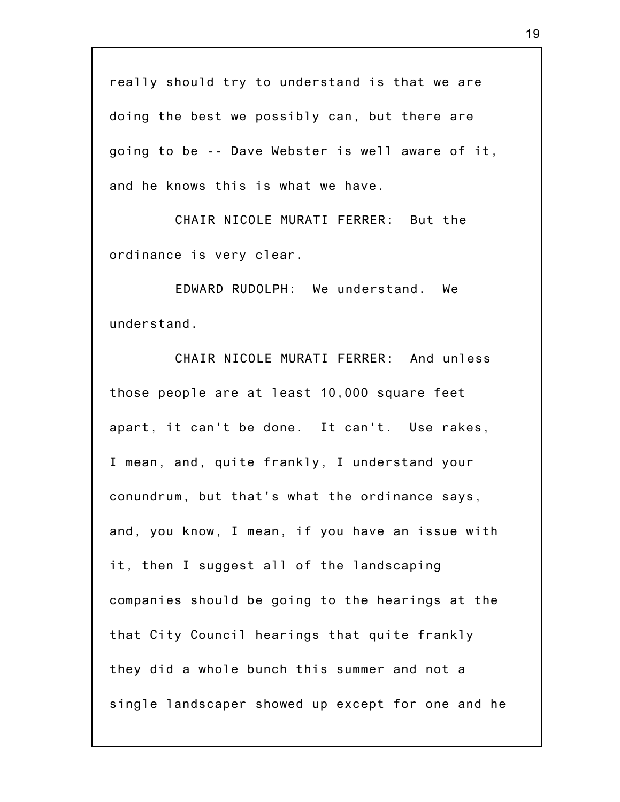really should try to understand is that we are doing the best we possibly can, but there are going to be -- Dave Webster is well aware of it, and he knows this is what we have.

CHAIR NICOLE MURATI FERRER: But the ordinance is very clear.

EDWARD RUDOLPH: We understand. We understand.

CHAIR NICOLE MURATI FERRER: And unless those people are at least 10,000 square feet apart, it can't be done. It can't. Use rakes, I mean, and, quite frankly, I understand your conundrum, but that's what the ordinance says, and, you know, I mean, if you have an issue with it, then I suggest all of the landscaping companies should be going to the hearings at the that City Council hearings that quite frankly they did a whole bunch this summer and not a single landscaper showed up except for one and he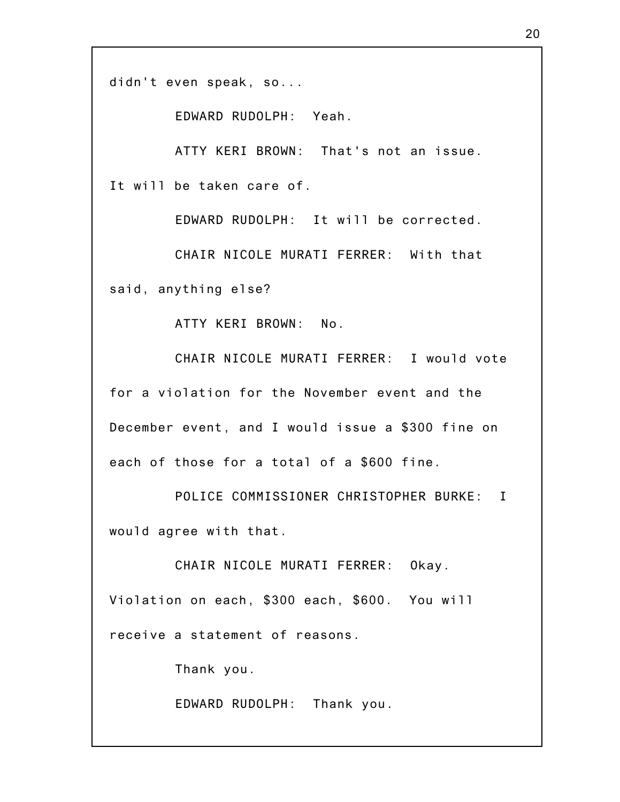didn't even speak, so...

EDWARD RUDOLPH: Yeah.

ATTY KERI BROWN: That's not an issue. It will be taken care of.

EDWARD RUDOLPH: It will be corrected.

CHAIR NICOLE MURATI FERRER: With that said, anything else?

ATTY KERI BROWN: No.

CHAIR NICOLE MURATI FERRER: I would vote for a violation for the November event and the December event, and I would issue a \$300 fine on each of those for a total of a \$600 fine.

POLICE COMMISSIONER CHRISTOPHER BURKE: I would agree with that.

CHAIR NICOLE MURATI FERRER: Okay. Violation on each, \$300 each, \$600. You will receive a statement of reasons.

Thank you.

EDWARD RUDOLPH: Thank you.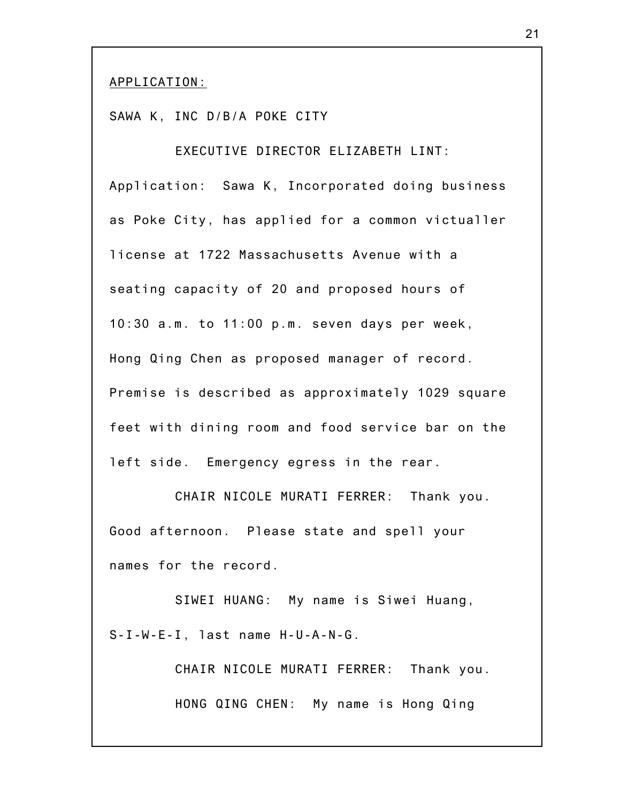## APPLICATION:

SAWA K, INC D/B/A POKE CITY

EXECUTIVE DIRECTOR ELIZABETH LINT: Application: Sawa K, Incorporated doing business as Poke City, has applied for a common victualler license at 1722 Massachusetts Avenue with a seating capacity of 20 and proposed hours of 10:30 a.m. to 11:00 p.m. seven days per week, Hong Qing Chen as proposed manager of record. Premise is described as approximately 1029 square feet with dining room and food service bar on the left side. Emergency egress in the rear.

CHAIR NICOLE MURATI FERRER: Thank you. Good afternoon. Please state and spell your names for the record.

SIWEI HUANG: My name is Siwei Huang, S-I-W-E-I, last name H-U-A-N-G.

> CHAIR NICOLE MURATI FERRER: Thank you. HONG QING CHEN: My name is Hong Qing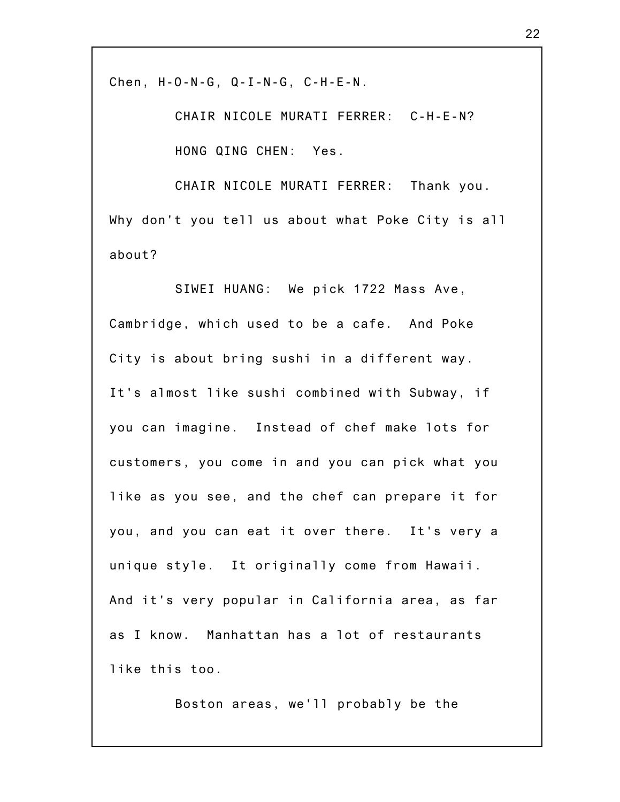Chen, H-O-N-G, Q-I-N-G, C-H-E-N.

CHAIR NICOLE MURATI FERRER: C-H-E-N? HONG QING CHEN: Yes.

CHAIR NICOLE MURATI FERRER: Thank you. Why don't you tell us about what Poke City is all about?

SIWEI HUANG: We pick 1722 Mass Ave, Cambridge, which used to be a cafe. And Poke City is about bring sushi in a different way. It's almost like sushi combined with Subway, if you can imagine. Instead of chef make lots for customers, you come in and you can pick what you like as you see, and the chef can prepare it for you, and you can eat it over there. It's very a unique style. It originally come from Hawaii. And it's very popular in California area, as far as I know. Manhattan has a lot of restaurants like this too.

Boston areas, we'll probably be the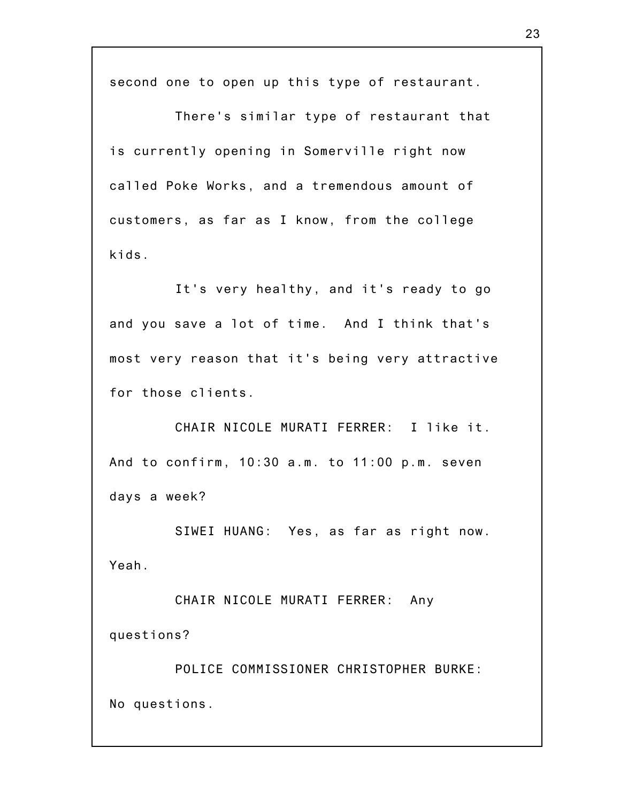second one to open up this type of restaurant.

There's similar type of restaurant that is currently opening in Somerville right now called Poke Works, and a tremendous amount of customers, as far as I know, from the college kids.

It's very healthy, and it's ready to go and you save a lot of time. And I think that's most very reason that it's being very attractive for those clients.

CHAIR NICOLE MURATI FERRER: I like it. And to confirm, 10:30 a.m. to 11:00 p.m. seven days a week?

SIWEI HUANG: Yes, as far as right now. Yeah.

CHAIR NICOLE MURATI FERRER: Any questions?

POLICE COMMISSIONER CHRISTOPHER BURKE: No questions.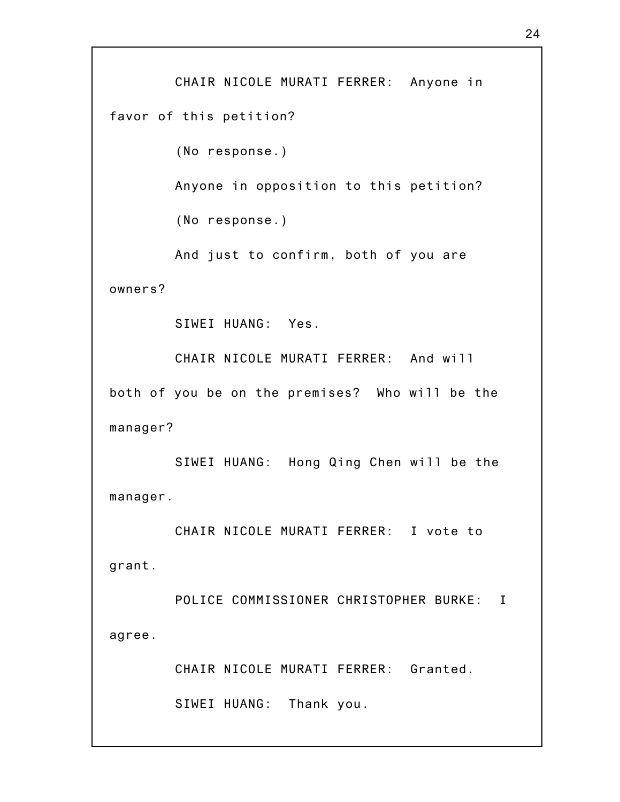CHAIR NICOLE MURATI FERRER: Anyone in favor of this petition?

(No response.)

Anyone in opposition to this petition?

(No response.)

And just to confirm, both of you are

owners?

SIWEI HUANG: Yes.

CHAIR NICOLE MURATI FERRER: And will both of you be on the premises? Who will be the manager?

SIWEI HUANG: Hong Qing Chen will be the manager.

CHAIR NICOLE MURATI FERRER: I vote to grant.

POLICE COMMISSIONER CHRISTOPHER BURKE: I agree.

CHAIR NICOLE MURATI FERRER: Granted.

SIWEI HUANG: Thank you.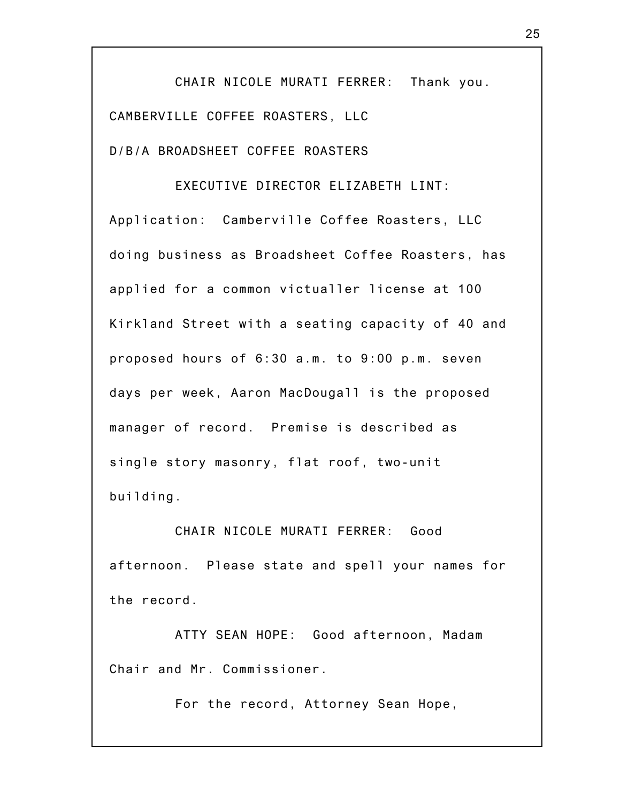CHAIR NICOLE MURATI FERRER: Thank you. CAMBERVILLE COFFEE ROASTERS, LLC D/B/A BROADSHEET COFFEE ROASTERS

EXECUTIVE DIRECTOR ELIZABETH LINT: Application: Camberville Coffee Roasters, LLC doing business as Broadsheet Coffee Roasters, has applied for a common victualler license at 100 Kirkland Street with a seating capacity of 40 and proposed hours of 6:30 a.m. to 9:00 p.m. seven days per week, Aaron MacDougall is the proposed manager of record. Premise is described as single story masonry, flat roof, two-unit building.

CHAIR NICOLE MURATI FERRER: Good afternoon. Please state and spell your names for the record.

ATTY SEAN HOPE: Good afternoon, Madam Chair and Mr. Commissioner.

For the record, Attorney Sean Hope,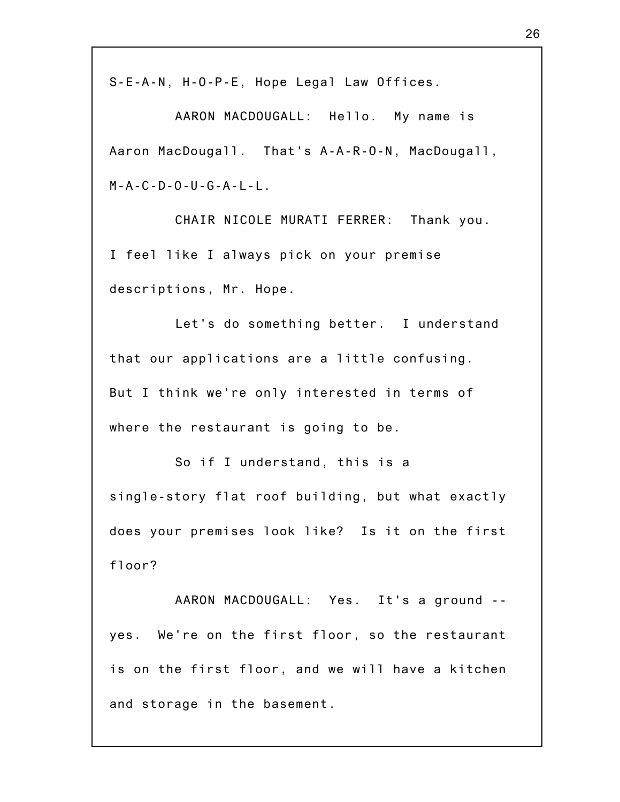S-E-A-N, H-O-P-E, Hope Legal Law Offices.

AARON MACDOUGALL: Hello. My name is Aaron MacDougall. That's A-A-R-O-N, MacDougall,  $M - A - C - D - O - U - G - A - L - L$ .

CHAIR NICOLE MURATI FERRER: Thank you. I feel like I always pick on your premise descriptions, Mr. Hope.

Let's do something better. I understand that our applications are a little confusing. But I think we're only interested in terms of where the restaurant is going to be.

So if I understand, this is a single-story flat roof building, but what exactly does your premises look like? Is it on the first floor?

AARON MACDOUGALL: Yes. It's a ground - yes. We're on the first floor, so the restaurant is on the first floor, and we will have a kitchen and storage in the basement.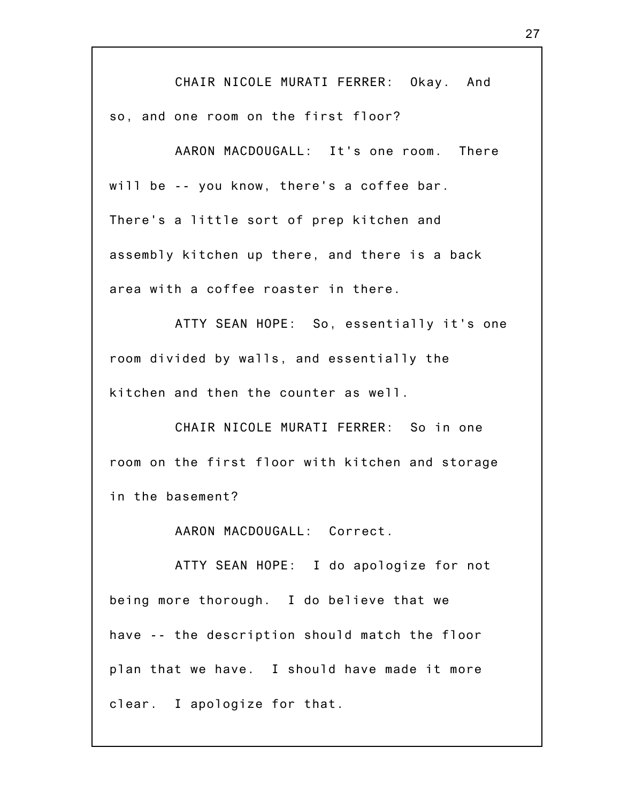CHAIR NICOLE MURATI FERRER: Okay. And so, and one room on the first floor?

AARON MACDOUGALL: It's one room. There will be -- you know, there's a coffee bar. There's a little sort of prep kitchen and assembly kitchen up there, and there is a back area with a coffee roaster in there.

ATTY SEAN HOPE: So, essentially it's one room divided by walls, and essentially the kitchen and then the counter as well.

CHAIR NICOLE MURATI FERRER: So in one room on the first floor with kitchen and storage in the basement?

AARON MACDOUGALL: Correct.

ATTY SEAN HOPE: I do apologize for not being more thorough. I do believe that we have -- the description should match the floor plan that we have. I should have made it more clear. I apologize for that.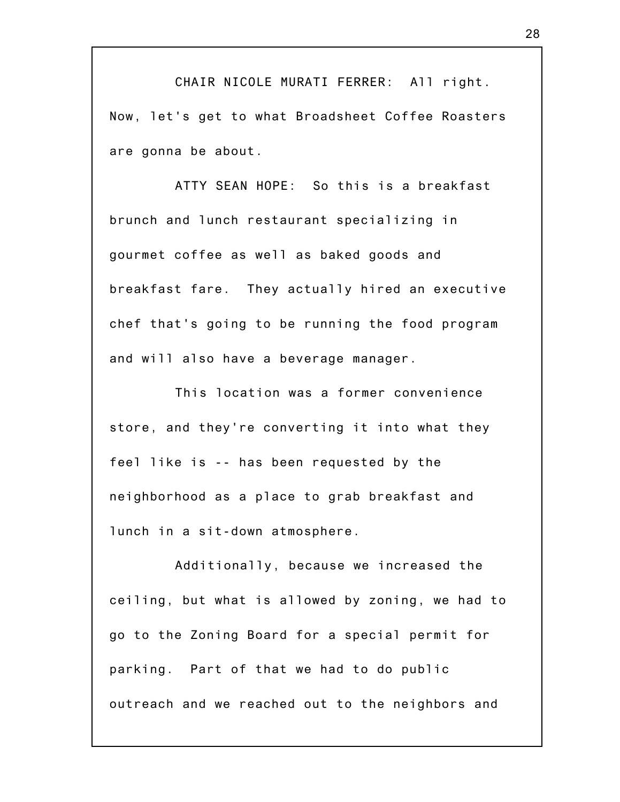CHAIR NICOLE MURATI FERRER: All right. Now, let's get to what Broadsheet Coffee Roasters are gonna be about.

ATTY SEAN HOPE: So this is a breakfast brunch and lunch restaurant specializing in gourmet coffee as well as baked goods and breakfast fare. They actually hired an executive chef that's going to be running the food program and will also have a beverage manager.

This location was a former convenience store, and they're converting it into what they feel like is -- has been requested by the neighborhood as a place to grab breakfast and lunch in a sit-down atmosphere.

Additionally, because we increased the ceiling, but what is allowed by zoning, we had to go to the Zoning Board for a special permit for parking. Part of that we had to do public outreach and we reached out to the neighbors and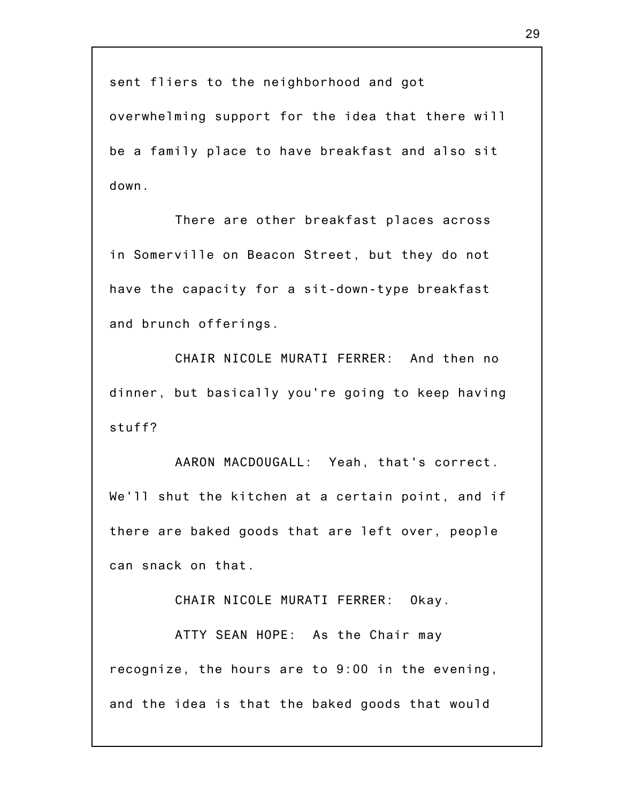sent fliers to the neighborhood and got

overwhelming support for the idea that there will be a family place to have breakfast and also sit down.

There are other breakfast places across in Somerville on Beacon Street, but they do not have the capacity for a sit-down-type breakfast and brunch offerings.

CHAIR NICOLE MURATI FERRER: And then no dinner, but basically you're going to keep having stuff?

AARON MACDOUGALL: Yeah, that's correct. We'll shut the kitchen at a certain point, and if there are baked goods that are left over, people can snack on that.

CHAIR NICOLE MURATI FERRER: Okay.

ATTY SEAN HOPE: As the Chair may recognize, the hours are to 9:00 in the evening, and the idea is that the baked goods that would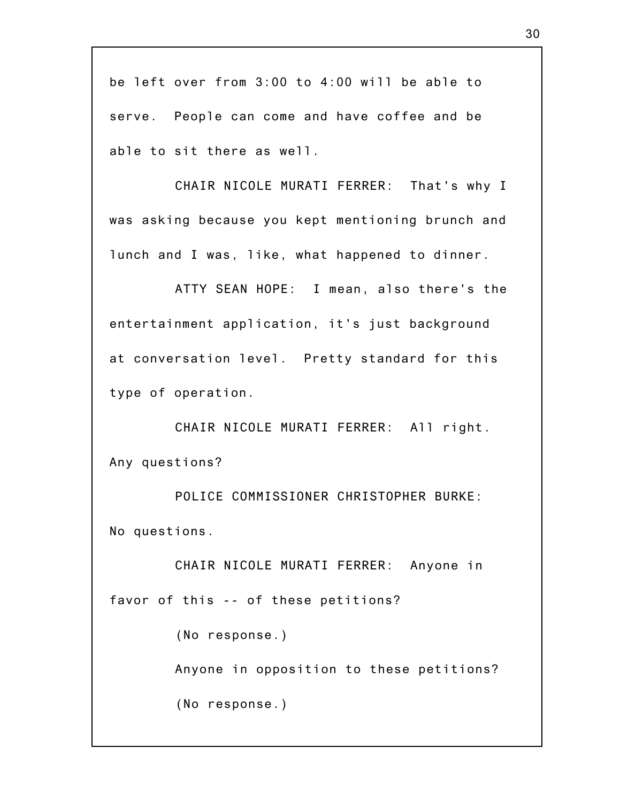be left over from 3:00 to 4:00 will be able to serve. People can come and have coffee and be able to sit there as well.

CHAIR NICOLE MURATI FERRER: That's why I was asking because you kept mentioning brunch and lunch and I was, like, what happened to dinner.

ATTY SEAN HOPE: I mean, also there's the entertainment application, it's just background at conversation level. Pretty standard for this type of operation.

CHAIR NICOLE MURATI FERRER: All right. Any questions?

POLICE COMMISSIONER CHRISTOPHER BURKE: No questions.

CHAIR NICOLE MURATI FERRER: Anyone in favor of this -- of these petitions? (No response.) Anyone in opposition to these petitions? (No response.)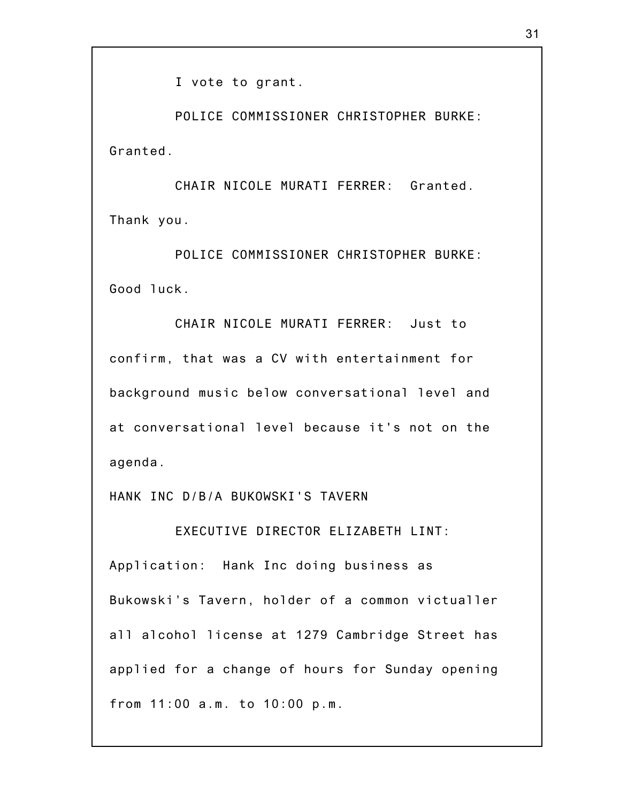I vote to grant.

POLICE COMMISSIONER CHRISTOPHER BURKE: Granted.

CHAIR NICOLE MURATI FERRER: Granted. Thank you.

POLICE COMMISSIONER CHRISTOPHER BURKE: Good luck.

CHAIR NICOLE MURATI FERRER: Just to confirm, that was a CV with entertainment for background music below conversational level and at conversational level because it's not on the agenda.

HANK INC D/B/A BUKOWSKI'S TAVERN

EXECUTIVE DIRECTOR ELIZABETH LINT:

Application: Hank Inc doing business as Bukowski's Tavern, holder of a common victualler all alcohol license at 1279 Cambridge Street has applied for a change of hours for Sunday opening from 11:00 a.m. to 10:00 p.m.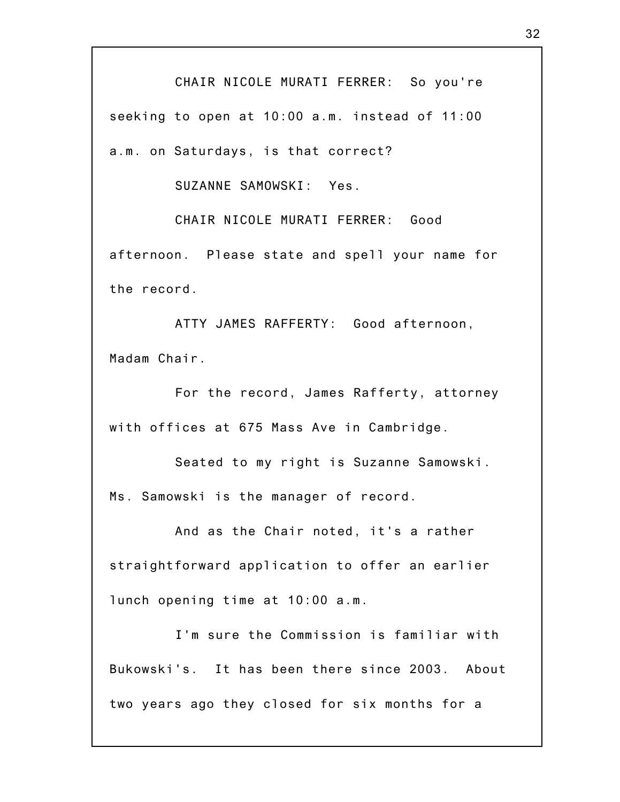CHAIR NICOLE MURATI FERRER: So you're seeking to open at 10:00 a.m. instead of 11:00 a.m. on Saturdays, is that correct?

SUZANNE SAMOWSKI: Yes.

CHAIR NICOLE MURATI FERRER: Good afternoon. Please state and spell your name for the record.

ATTY JAMES RAFFERTY: Good afternoon, Madam Chair.

For the record, James Rafferty, attorney with offices at 675 Mass Ave in Cambridge.

Seated to my right is Suzanne Samowski. Ms. Samowski is the manager of record.

And as the Chair noted, it's a rather straightforward application to offer an earlier lunch opening time at 10:00 a.m.

I'm sure the Commission is familiar with Bukowski's. It has been there since 2003. About two years ago they closed for six months for a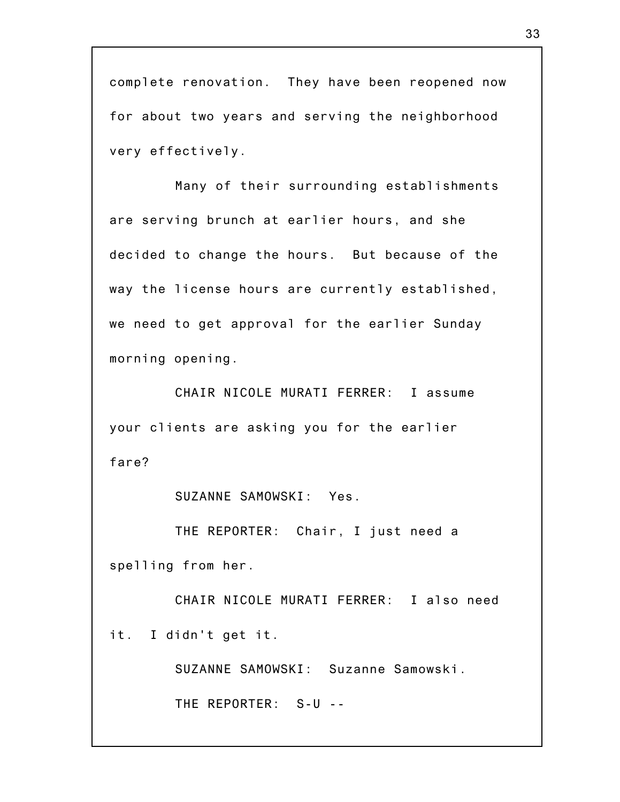complete renovation. They have been reopened now for about two years and serving the neighborhood very effectively.

Many of their surrounding establishments are serving brunch at earlier hours, and she decided to change the hours. But because of the way the license hours are currently established, we need to get approval for the earlier Sunday morning opening.

CHAIR NICOLE MURATI FERRER: I assume your clients are asking you for the earlier fare?

SUZANNE SAMOWSKI: Yes.

THE REPORTER: Chair, I just need a spelling from her.

CHAIR NICOLE MURATI FERRER: I also need it. I didn't get it.

SUZANNE SAMOWSKI: Suzanne Samowski.

THE REPORTER: S-U --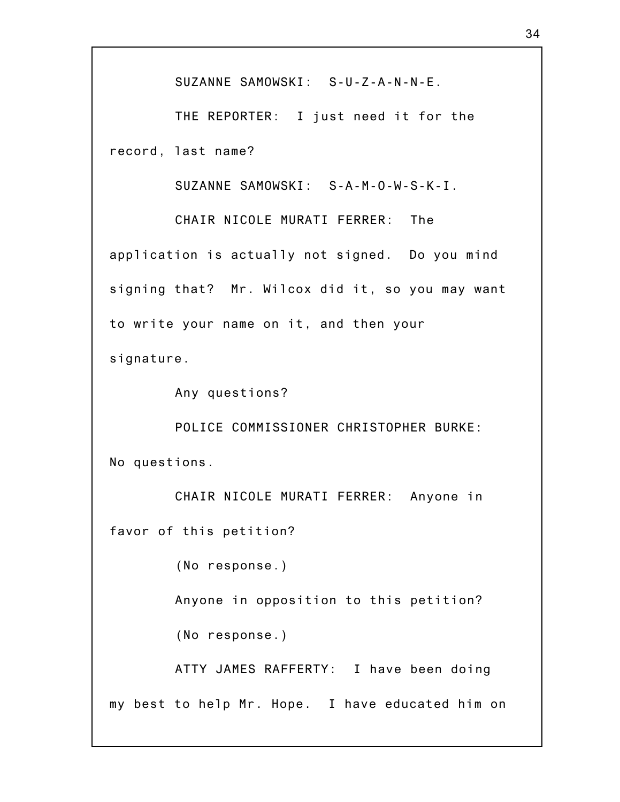SUZANNE SAMOWSKI: S-U-Z-A-N-N-E.

THE REPORTER: I just need it for the record, last name?

SUZANNE SAMOWSKI: S-A-M-O-W-S-K-I.

CHAIR NICOLE MURATI FERRER: The application is actually not signed. Do you mind signing that? Mr. Wilcox did it, so you may want to write your name on it, and then your signature.

Any questions?

POLICE COMMISSIONER CHRISTOPHER BURKE: No questions.

CHAIR NICOLE MURATI FERRER: Anyone in favor of this petition?

(No response.)

Anyone in opposition to this petition?

(No response.)

ATTY JAMES RAFFERTY: I have been doing my best to help Mr. Hope. I have educated him on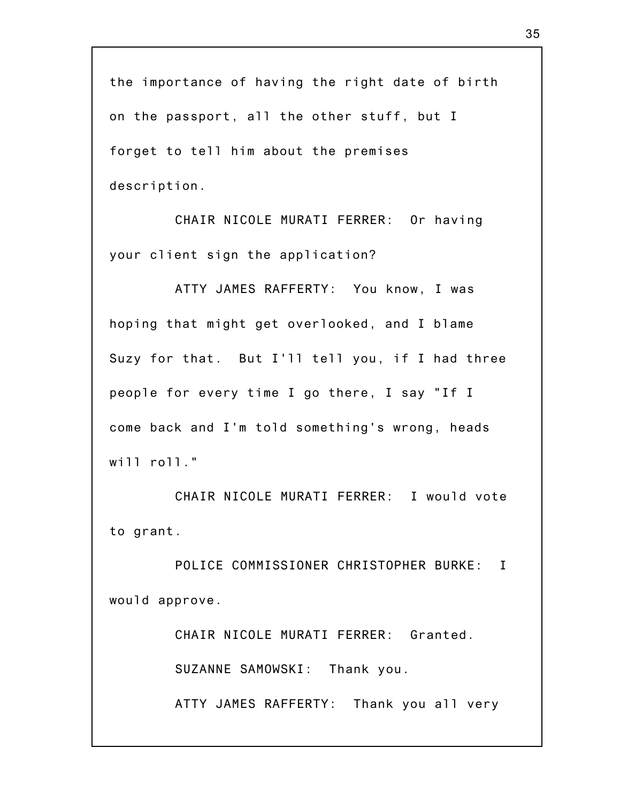the importance of having the right date of birth on the passport, all the other stuff, but I forget to tell him about the premises description.

CHAIR NICOLE MURATI FERRER: Or having your client sign the application?

ATTY JAMES RAFFERTY: You know, I was hoping that might get overlooked, and I blame Suzy for that. But I'll tell you, if I had three people for every time I go there, I say "If I come back and I'm told something's wrong, heads will roll."

CHAIR NICOLE MURATI FERRER: I would vote to grant.

POLICE COMMISSIONER CHRISTOPHER BURKE: I would approve.

CHAIR NICOLE MURATI FERRER: Granted.

SUZANNE SAMOWSKI: Thank you.

ATTY JAMES RAFFERTY: Thank you all very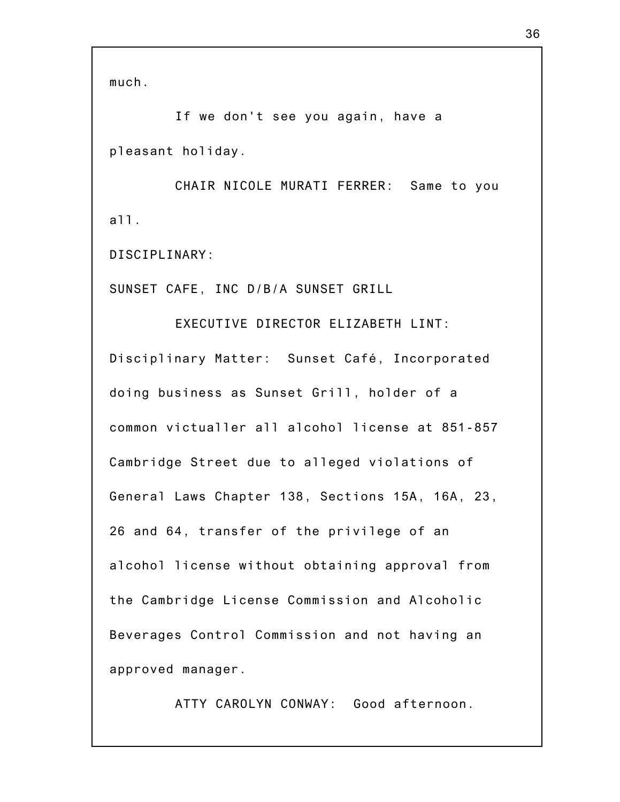If we don't see you again, have a pleasant holiday.

CHAIR NICOLE MURATI FERRER: Same to you all.

DISCIPLINARY:

SUNSET CAFE, INC D/B/A SUNSET GRILL

EXECUTIVE DIRECTOR ELIZABETH LINT: Disciplinary Matter: Sunset Café, Incorporated doing business as Sunset Grill, holder of a common victualler all alcohol license at 851-857 Cambridge Street due to alleged violations of General Laws Chapter 138, Sections 15A, 16A, 23, 26 and 64, transfer of the privilege of an alcohol license without obtaining approval from the Cambridge License Commission and Alcoholic Beverages Control Commission and not having an approved manager.

ATTY CAROLYN CONWAY: Good afternoon.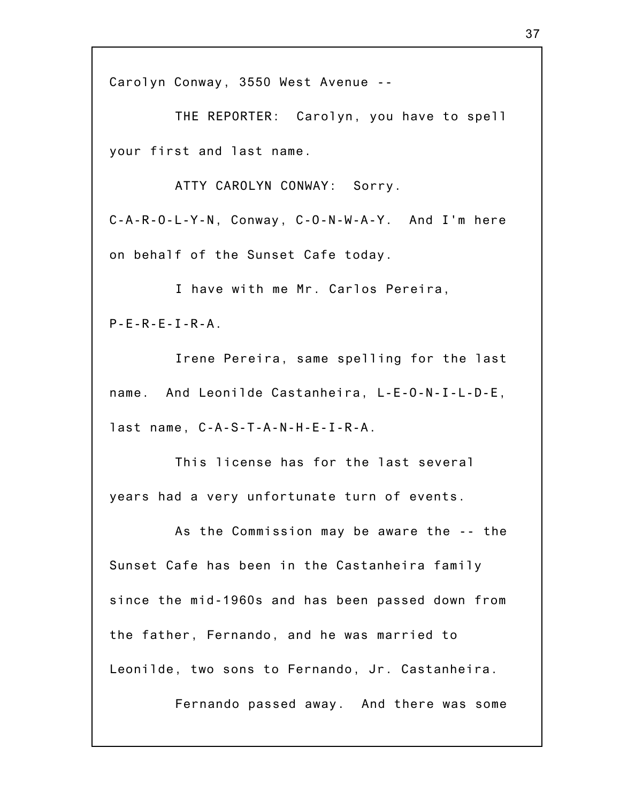Carolyn Conway, 3550 West Avenue --

THE REPORTER: Carolyn, you have to spell your first and last name.

ATTY CAROLYN CONWAY: Sorry. C-A-R-O-L-Y-N, Conway, C-O-N-W-A-Y. And I'm here on behalf of the Sunset Cafe today.

I have with me Mr. Carlos Pereira, P-E-R-E-I-R-A.

Irene Pereira, same spelling for the last name. And Leonilde Castanheira, L-E-O-N-I-L-D-E, last name, C-A-S-T-A-N-H-E-I-R-A.

This license has for the last several years had a very unfortunate turn of events.

As the Commission may be aware the -- the Sunset Cafe has been in the Castanheira family since the mid-1960s and has been passed down from the father, Fernando, and he was married to Leonilde, two sons to Fernando, Jr. Castanheira.

Fernando passed away. And there was some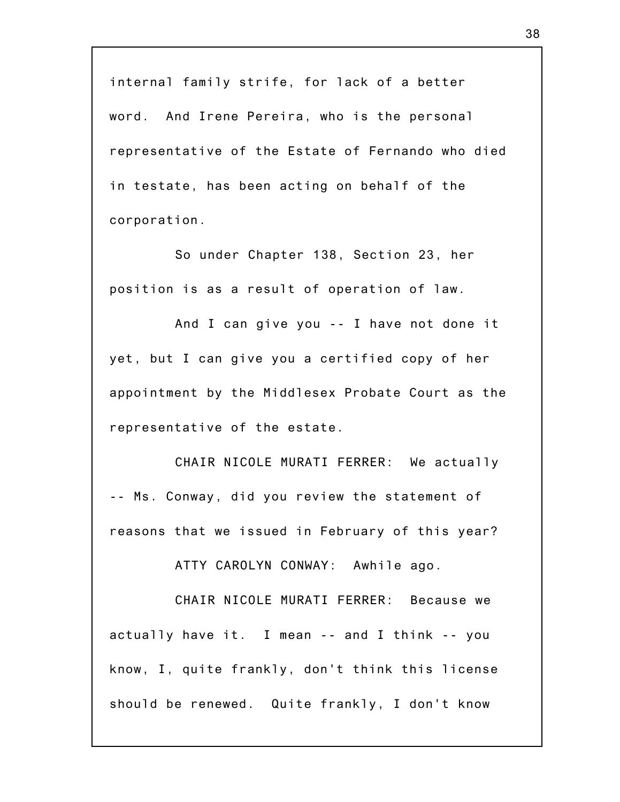internal family strife, for lack of a better word. And Irene Pereira, who is the personal representative of the Estate of Fernando who died in testate, has been acting on behalf of the corporation.

So under Chapter 138, Section 23, her position is as a result of operation of law.

And I can give you -- I have not done it yet, but I can give you a certified copy of her appointment by the Middlesex Probate Court as the representative of the estate.

CHAIR NICOLE MURATI FERRER: We actually -- Ms. Conway, did you review the statement of reasons that we issued in February of this year?

ATTY CAROLYN CONWAY: Awhile ago.

CHAIR NICOLE MURATI FERRER: Because we actually have it. I mean -- and I think -- you know, I, quite frankly, don't think this license should be renewed. Quite frankly, I don't know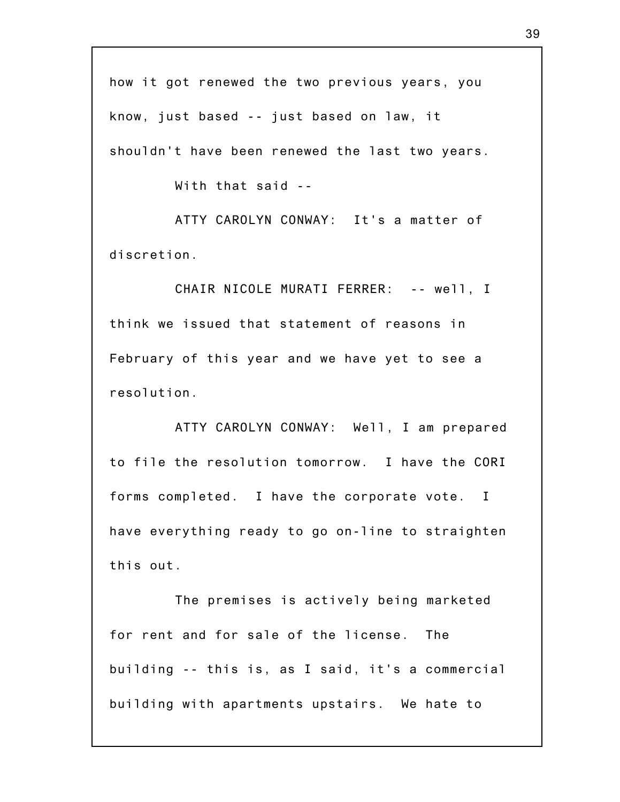how it got renewed the two previous years, you know, just based -- just based on law, it shouldn't have been renewed the last two years.

With that said --

ATTY CAROLYN CONWAY: It's a matter of discretion.

CHAIR NICOLE MURATI FERRER: -- well, I think we issued that statement of reasons in February of this year and we have yet to see a resolution.

ATTY CAROLYN CONWAY: Well, I am prepared to file the resolution tomorrow. I have the CORI forms completed. I have the corporate vote. I have everything ready to go on-line to straighten this out.

The premises is actively being marketed for rent and for sale of the license. The building -- this is, as I said, it's a commercial building with apartments upstairs. We hate to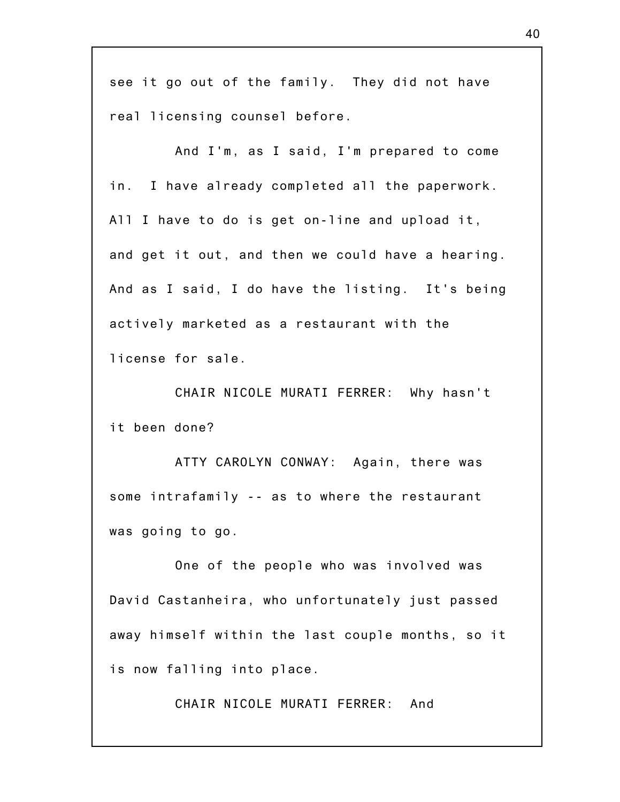see it go out of the family. They did not have real licensing counsel before.

And I'm, as I said, I'm prepared to come in. I have already completed all the paperwork. All I have to do is get on-line and upload it, and get it out, and then we could have a hearing. And as I said, I do have the listing. It's being actively marketed as a restaurant with the license for sale.

CHAIR NICOLE MURATI FERRER: Why hasn't it been done?

ATTY CAROLYN CONWAY: Again, there was some intrafamily -- as to where the restaurant was going to go.

One of the people who was involved was David Castanheira, who unfortunately just passed away himself within the last couple months, so it is now falling into place.

CHAIR NICOLE MURATI FERRER: And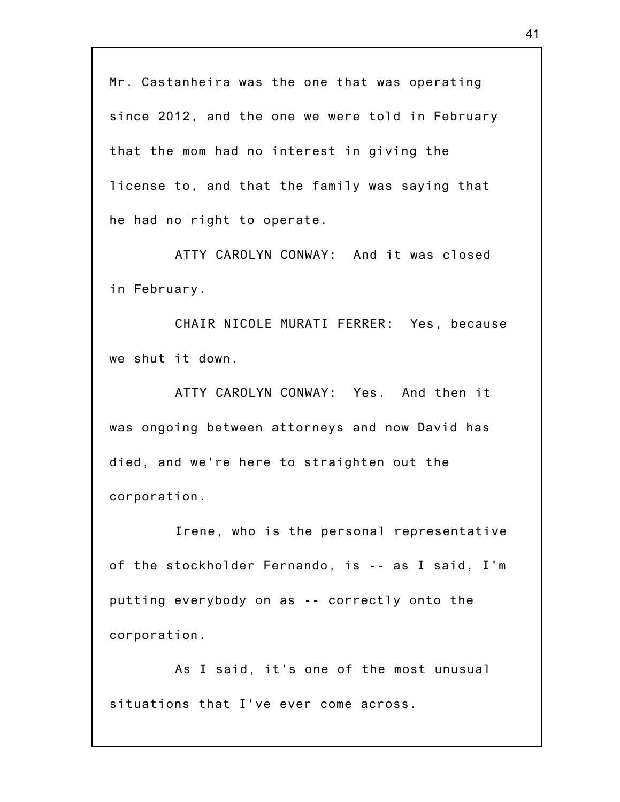Mr. Castanheira was the one that was operating since 2012, and the one we were told in February that the mom had no interest in giving the license to, and that the family was saying that he had no right to operate.

ATTY CAROLYN CONWAY: And it was closed in February.

CHAIR NICOLE MURATI FERRER: Yes, because we shut it down.

ATTY CAROLYN CONWAY: Yes. And then it was ongoing between attorneys and now David has died, and we're here to straighten out the corporation.

Irene, who is the personal representative of the stockholder Fernando, is -- as I said, I'm putting everybody on as -- correctly onto the corporation.

As I said, it's one of the most unusual situations that I've ever come across.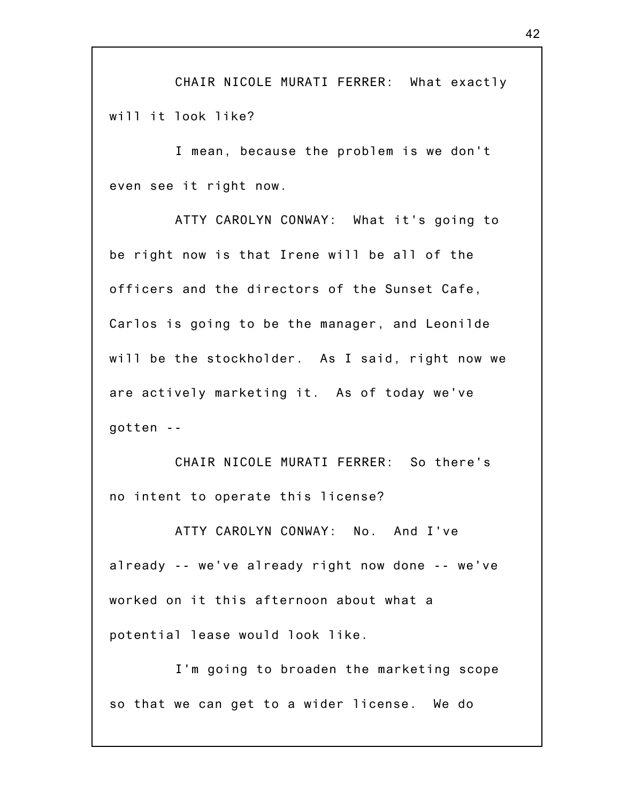CHAIR NICOLE MURATI FERRER: What exactly will it look like?

I mean, because the problem is we don't even see it right now.

ATTY CAROLYN CONWAY: What it's going to be right now is that Irene will be all of the officers and the directors of the Sunset Cafe, Carlos is going to be the manager, and Leonilde will be the stockholder. As I said, right now we are actively marketing it. As of today we've gotten --

CHAIR NICOLE MURATI FERRER: So there's no intent to operate this license?

ATTY CAROLYN CONWAY: No. And I've already -- we've already right now done -- we've worked on it this afternoon about what a potential lease would look like.

I'm going to broaden the marketing scope so that we can get to a wider license. We do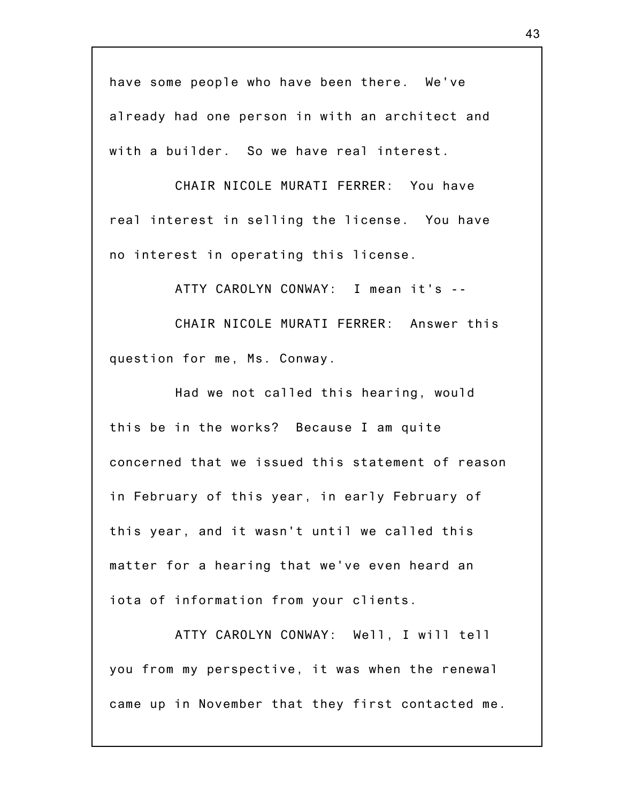have some people who have been there. We've already had one person in with an architect and with a builder. So we have real interest.

CHAIR NICOLE MURATI FERRER: You have real interest in selling the license. You have no interest in operating this license.

ATTY CAROLYN CONWAY: I mean it's --

CHAIR NICOLE MURATI FERRER: Answer this question for me, Ms. Conway.

Had we not called this hearing, would this be in the works? Because I am quite concerned that we issued this statement of reason in February of this year, in early February of this year, and it wasn't until we called this matter for a hearing that we've even heard an iota of information from your clients.

ATTY CAROLYN CONWAY: Well, I will tell you from my perspective, it was when the renewal came up in November that they first contacted me.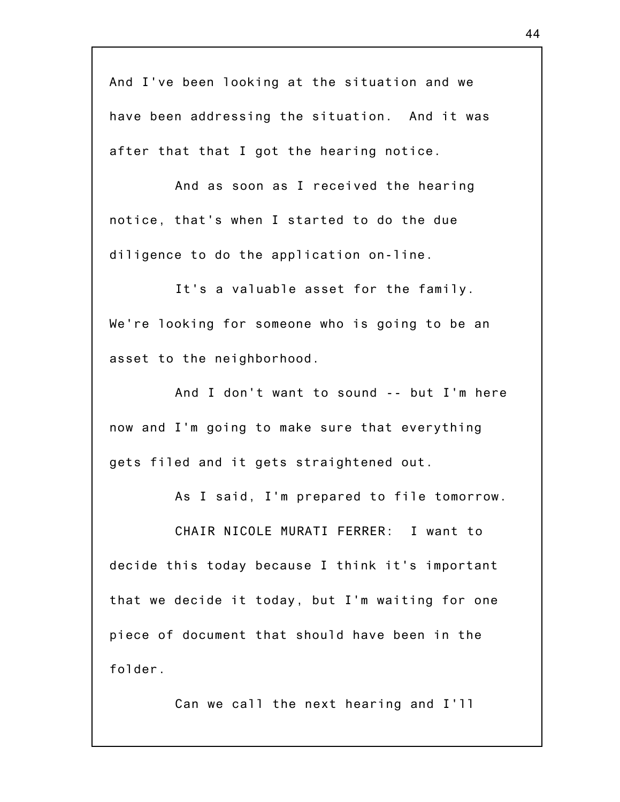And I've been looking at the situation and we have been addressing the situation. And it was after that that I got the hearing notice.

And as soon as I received the hearing notice, that's when I started to do the due diligence to do the application on-line.

It's a valuable asset for the family. We're looking for someone who is going to be an asset to the neighborhood.

And I don't want to sound -- but I'm here now and I'm going to make sure that everything gets filed and it gets straightened out.

As I said, I'm prepared to file tomorrow.

CHAIR NICOLE MURATI FERRER: I want to decide this today because I think it's important that we decide it today, but I'm waiting for one piece of document that should have been in the folder.

Can we call the next hearing and I'll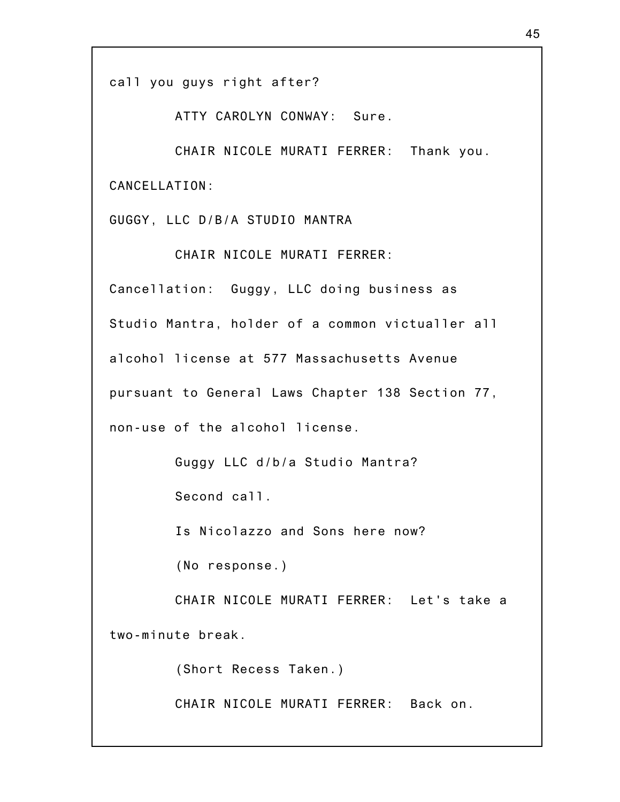call you guys right after?

ATTY CAROLYN CONWAY: Sure.

CHAIR NICOLE MURATI FERRER: Thank you. CANCELLATION:

GUGGY, LLC D/B/A STUDIO MANTRA

CHAIR NICOLE MURATI FERRER:

Cancellation: Guggy, LLC doing business as Studio Mantra, holder of a common victualler all alcohol license at 577 Massachusetts Avenue pursuant to General Laws Chapter 138 Section 77, non-use of the alcohol license.

Guggy LLC d/b/a Studio Mantra?

Second call.

Is Nicolazzo and Sons here now?

(No response.)

CHAIR NICOLE MURATI FERRER: Let's take a two-minute break.

(Short Recess Taken.)

CHAIR NICOLE MURATI FERRER: Back on.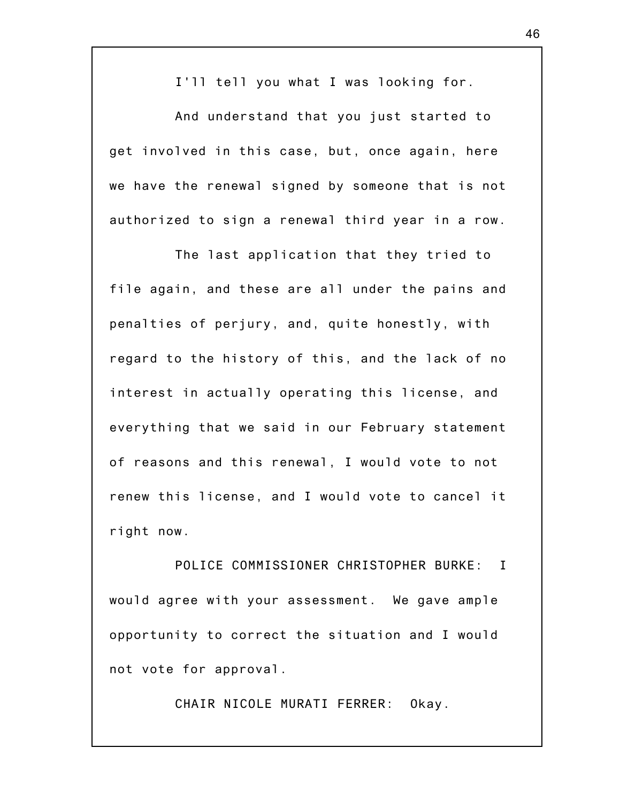I'll tell you what I was looking for.

And understand that you just started to get involved in this case, but, once again, here we have the renewal signed by someone that is not authorized to sign a renewal third year in a row.

The last application that they tried to file again, and these are all under the pains and penalties of perjury, and, quite honestly, with regard to the history of this, and the lack of no interest in actually operating this license, and everything that we said in our February statement of reasons and this renewal, I would vote to not renew this license, and I would vote to cancel it right now.

POLICE COMMISSIONER CHRISTOPHER BURKE: I would agree with your assessment. We gave ample opportunity to correct the situation and I would not vote for approval.

CHAIR NICOLE MURATI FERRER: Okay.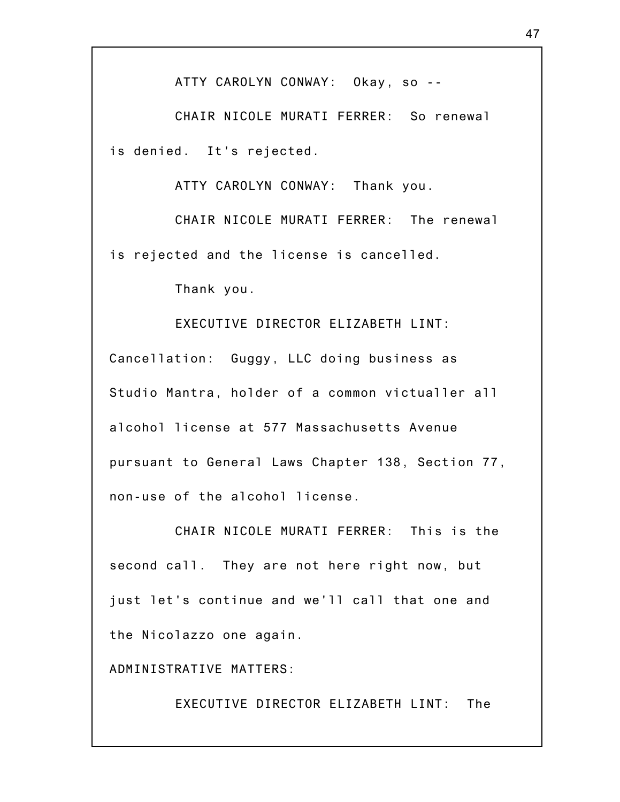ATTY CAROLYN CONWAY: Okay, so --

CHAIR NICOLE MURATI FERRER: So renewal is denied. It's rejected.

ATTY CAROLYN CONWAY: Thank you.

CHAIR NICOLE MURATI FERRER: The renewal is rejected and the license is cancelled.

Thank you.

EXECUTIVE DIRECTOR ELIZABETH LINT: Cancellation: Guggy, LLC doing business as Studio Mantra, holder of a common victualler all alcohol license at 577 Massachusetts Avenue pursuant to General Laws Chapter 138, Section 77, non-use of the alcohol license.

CHAIR NICOLE MURATI FERRER: This is the second call. They are not here right now, but just let's continue and we'll call that one and the Nicolazzo one again.

ADMINISTRATIVE MATTERS:

EXECUTIVE DIRECTOR ELIZABETH LINT: The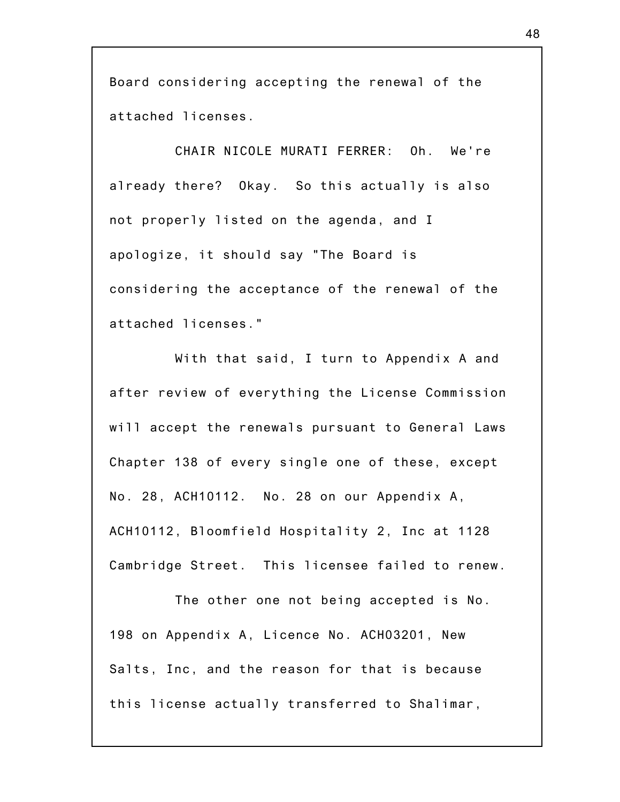Board considering accepting the renewal of the attached licenses.

CHAIR NICOLE MURATI FERRER: Oh. We're already there? Okay. So this actually is also not properly listed on the agenda, and I apologize, it should say "The Board is considering the acceptance of the renewal of the attached licenses."

With that said, I turn to Appendix A and after review of everything the License Commission will accept the renewals pursuant to General Laws Chapter 138 of every single one of these, except No. 28, ACH10112. No. 28 on our Appendix A, ACH10112, Bloomfield Hospitality 2, Inc at 1128 Cambridge Street. This licensee failed to renew.

The other one not being accepted is No. 198 on Appendix A, Licence No. ACH03201, New Salts, Inc, and the reason for that is because this license actually transferred to Shalimar,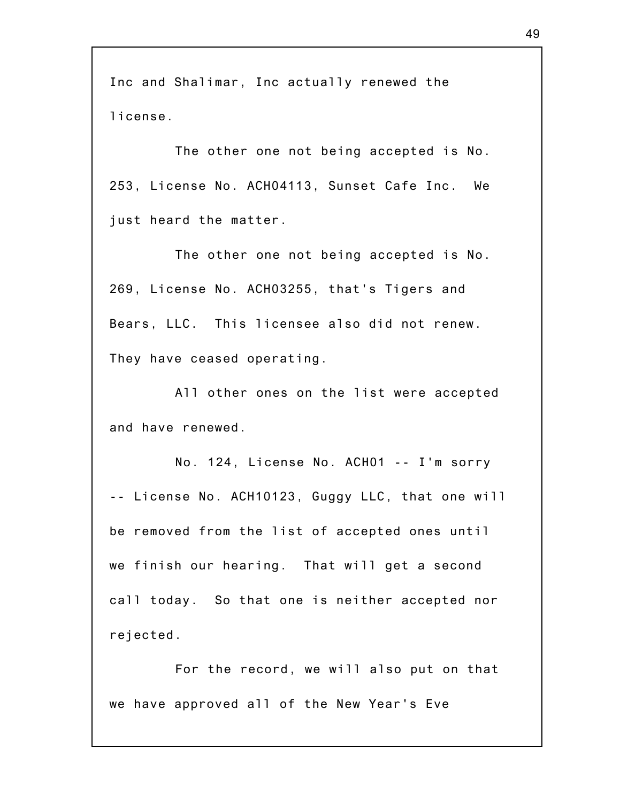Inc and Shalimar, Inc actually renewed the license.

The other one not being accepted is No. 253, License No. ACH04113, Sunset Cafe Inc. We just heard the matter.

The other one not being accepted is No. 269, License No. ACH03255, that's Tigers and Bears, LLC. This licensee also did not renew. They have ceased operating.

All other ones on the list were accepted and have renewed.

No. 124, License No. ACH01 -- I'm sorry -- License No. ACH10123, Guggy LLC, that one will be removed from the list of accepted ones until we finish our hearing. That will get a second call today. So that one is neither accepted nor rejected.

For the record, we will also put on that we have approved all of the New Year's Eve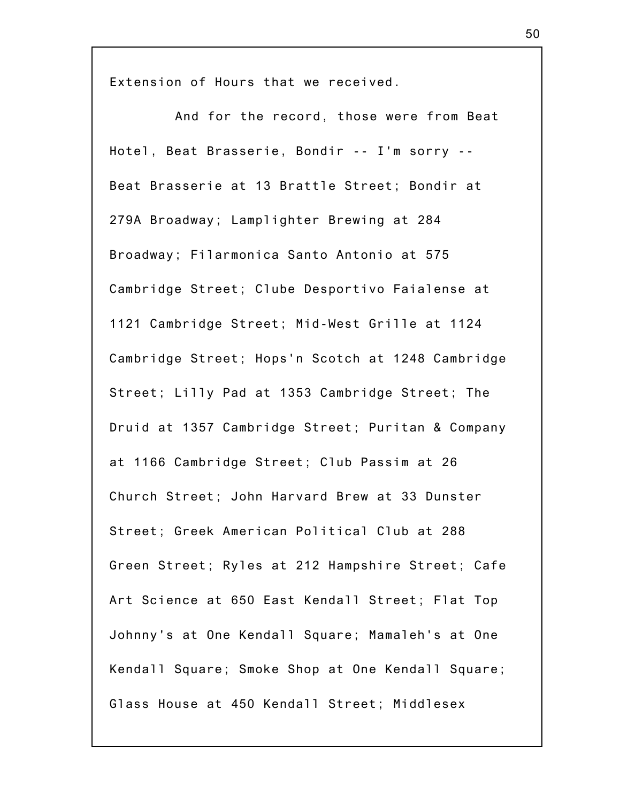Extension of Hours that we received.

And for the record, those were from Beat Hotel, Beat Brasserie, Bondir -- I'm sorry -- Beat Brasserie at 13 Brattle Street; Bondir at 279A Broadway; Lamplighter Brewing at 284 Broadway; Filarmonica Santo Antonio at 575 Cambridge Street; Clube Desportivo Faialense at 1121 Cambridge Street; Mid-West Grille at 1124 Cambridge Street; Hops'n Scotch at 1248 Cambridge Street; Lilly Pad at 1353 Cambridge Street; The Druid at 1357 Cambridge Street; Puritan & Company at 1166 Cambridge Street; Club Passim at 26 Church Street; John Harvard Brew at 33 Dunster Street; Greek American Political Club at 288 Green Street; Ryles at 212 Hampshire Street; Cafe Art Science at 650 East Kendall Street; Flat Top Johnny's at One Kendall Square; Mamaleh's at One Kendall Square; Smoke Shop at One Kendall Square; Glass House at 450 Kendall Street; Middlesex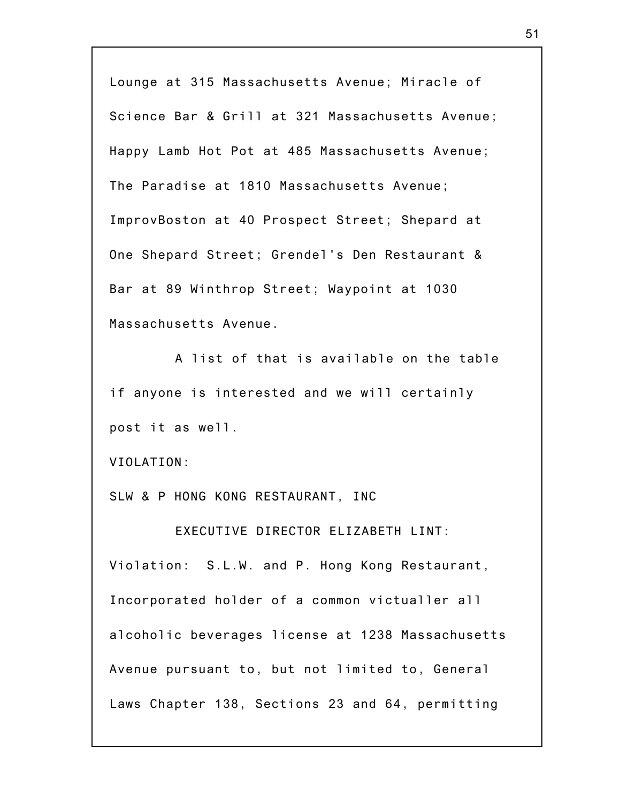Lounge at 315 Massachusetts Avenue; Miracle of Science Bar & Grill at 321 Massachusetts Avenue; Happy Lamb Hot Pot at 485 Massachusetts Avenue; The Paradise at 1810 Massachusetts Avenue; ImprovBoston at 40 Prospect Street; Shepard at One Shepard Street; Grendel's Den Restaurant & Bar at 89 Winthrop Street; Waypoint at 1030 Massachusetts Avenue.

A list of that is available on the table if anyone is interested and we will certainly post it as well.

VIOLATION:

SLW & P HONG KONG RESTAURANT, INC

EXECUTIVE DIRECTOR ELIZABETH LINT: Violation: S.L.W. and P. Hong Kong Restaurant, Incorporated holder of a common victualler all alcoholic beverages license at 1238 Massachusetts Avenue pursuant to, but not limited to, General Laws Chapter 138, Sections 23 and 64, permitting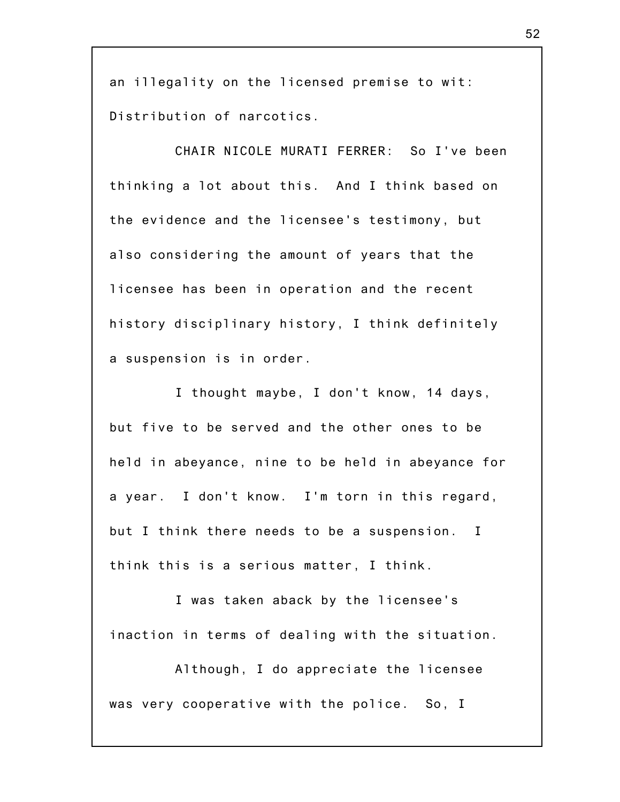an illegality on the licensed premise to wit: Distribution of narcotics.

CHAIR NICOLE MURATI FERRER: So I've been thinking a lot about this. And I think based on the evidence and the licensee's testimony, but also considering the amount of years that the licensee has been in operation and the recent history disciplinary history, I think definitely a suspension is in order.

I thought maybe, I don't know, 14 days, but five to be served and the other ones to be held in abeyance, nine to be held in abeyance for a year. I don't know. I'm torn in this regard, but I think there needs to be a suspension. I think this is a serious matter, I think.

I was taken aback by the licensee's inaction in terms of dealing with the situation.

Although, I do appreciate the licensee was very cooperative with the police. So, I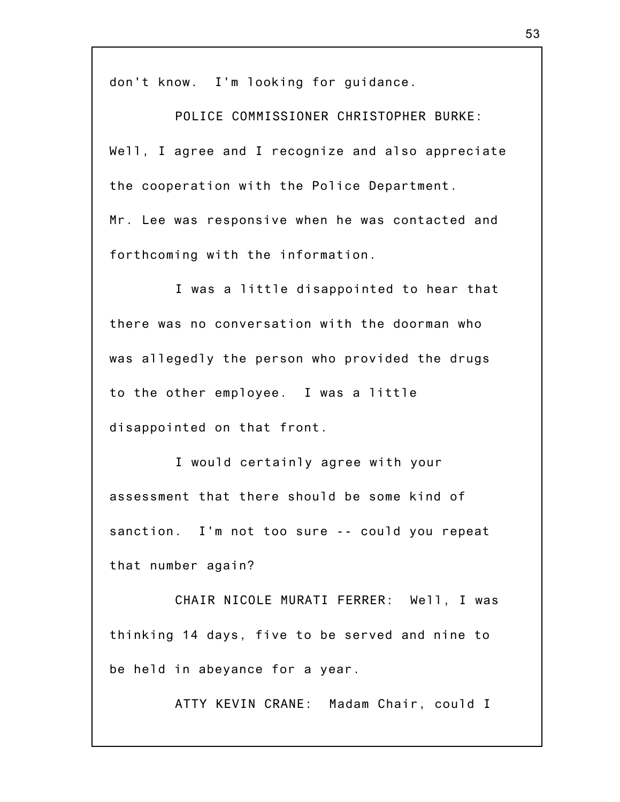don't know. I'm looking for guidance.

POLICE COMMISSIONER CHRISTOPHER BURKE: Well, I agree and I recognize and also appreciate the cooperation with the Police Department. Mr. Lee was responsive when he was contacted and forthcoming with the information.

I was a little disappointed to hear that there was no conversation with the doorman who was allegedly the person who provided the drugs to the other employee. I was a little disappointed on that front.

I would certainly agree with your assessment that there should be some kind of sanction. I'm not too sure -- could you repeat that number again?

CHAIR NICOLE MURATI FERRER: Well, I was thinking 14 days, five to be served and nine to be held in abeyance for a year.

ATTY KEVIN CRANE: Madam Chair, could I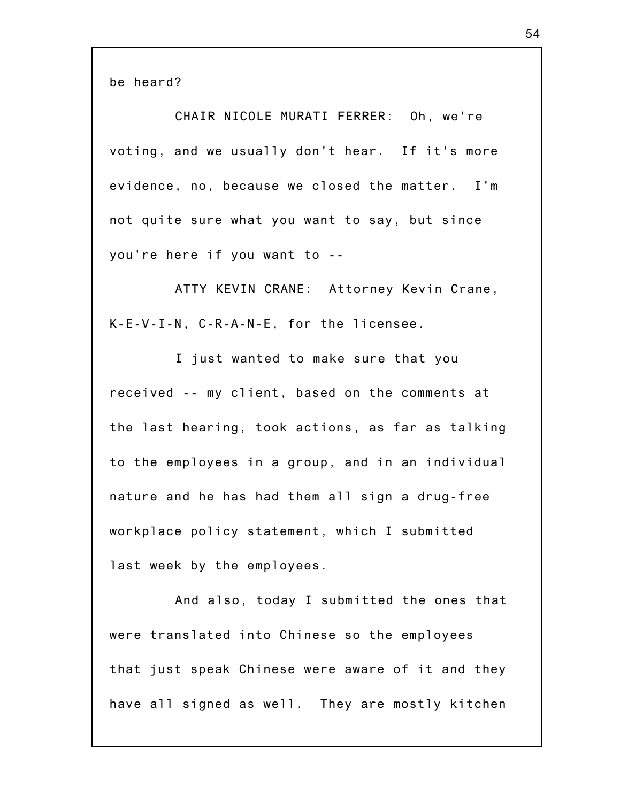be heard?

CHAIR NICOLE MURATI FERRER: Oh, we're voting, and we usually don't hear. If it's more evidence, no, because we closed the matter. I'm not quite sure what you want to say, but since you're here if you want to --

ATTY KEVIN CRANE: Attorney Kevin Crane, K-E-V-I-N, C-R-A-N-E, for the licensee.

I just wanted to make sure that you received -- my client, based on the comments at the last hearing, took actions, as far as talking to the employees in a group, and in an individual nature and he has had them all sign a drug-free workplace policy statement, which I submitted last week by the employees.

And also, today I submitted the ones that were translated into Chinese so the employees that just speak Chinese were aware of it and they have all signed as well. They are mostly kitchen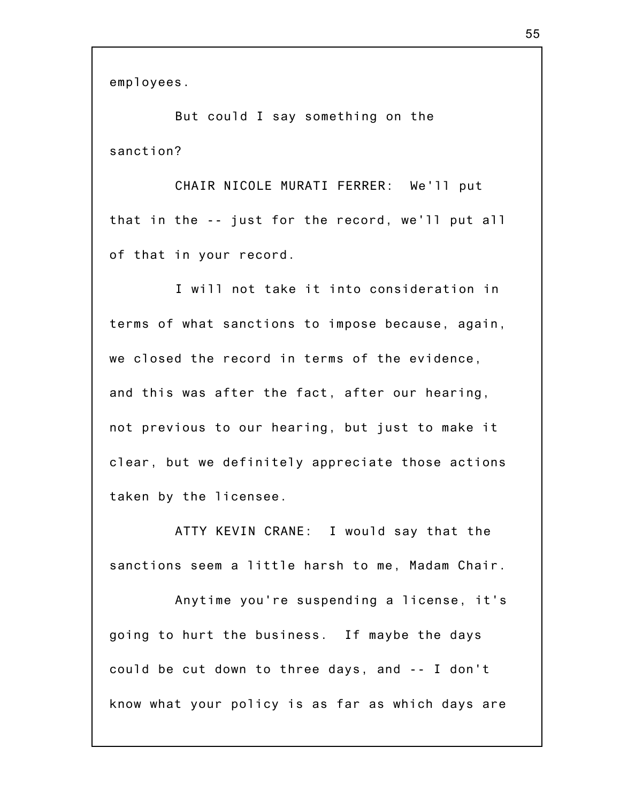employees.

But could I say something on the sanction?

CHAIR NICOLE MURATI FERRER: We'll put that in the -- just for the record, we'll put all of that in your record.

I will not take it into consideration in terms of what sanctions to impose because, again, we closed the record in terms of the evidence, and this was after the fact, after our hearing, not previous to our hearing, but just to make it clear, but we definitely appreciate those actions taken by the licensee.

ATTY KEVIN CRANE: I would say that the sanctions seem a little harsh to me, Madam Chair.

Anytime you're suspending a license, it's going to hurt the business. If maybe the days could be cut down to three days, and -- I don't know what your policy is as far as which days are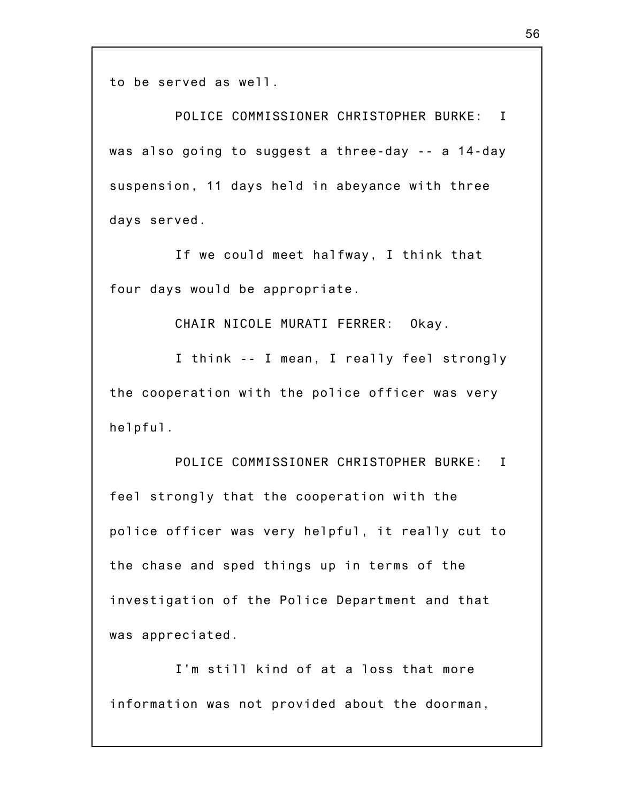to be served as well.

POLICE COMMISSIONER CHRISTOPHER BURKE: I was also going to suggest a three-day -- a 14-day suspension, 11 days held in abeyance with three days served.

If we could meet halfway, I think that four days would be appropriate.

CHAIR NICOLE MURATI FERRER: Okay.

I think -- I mean, I really feel strongly the cooperation with the police officer was very helpful.

POLICE COMMISSIONER CHRISTOPHER BURKE: I feel strongly that the cooperation with the police officer was very helpful, it really cut to the chase and sped things up in terms of the investigation of the Police Department and that was appreciated.

I'm still kind of at a loss that more information was not provided about the doorman,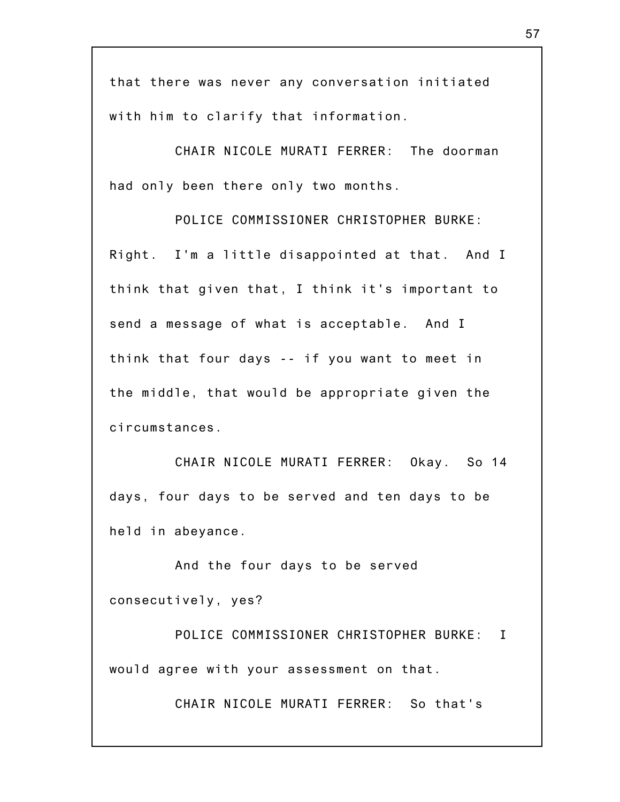that there was never any conversation initiated with him to clarify that information.

CHAIR NICOLE MURATI FERRER: The doorman had only been there only two months.

POLICE COMMISSIONER CHRISTOPHER BURKE: Right. I'm a little disappointed at that. And I think that given that, I think it's important to send a message of what is acceptable. And I think that four days -- if you want to meet in the middle, that would be appropriate given the circumstances.

CHAIR NICOLE MURATI FERRER: Okay. So 14 days, four days to be served and ten days to be held in abeyance.

And the four days to be served consecutively, yes?

POLICE COMMISSIONER CHRISTOPHER BURKE: I would agree with your assessment on that.

CHAIR NICOLE MURATI FERRER: So that's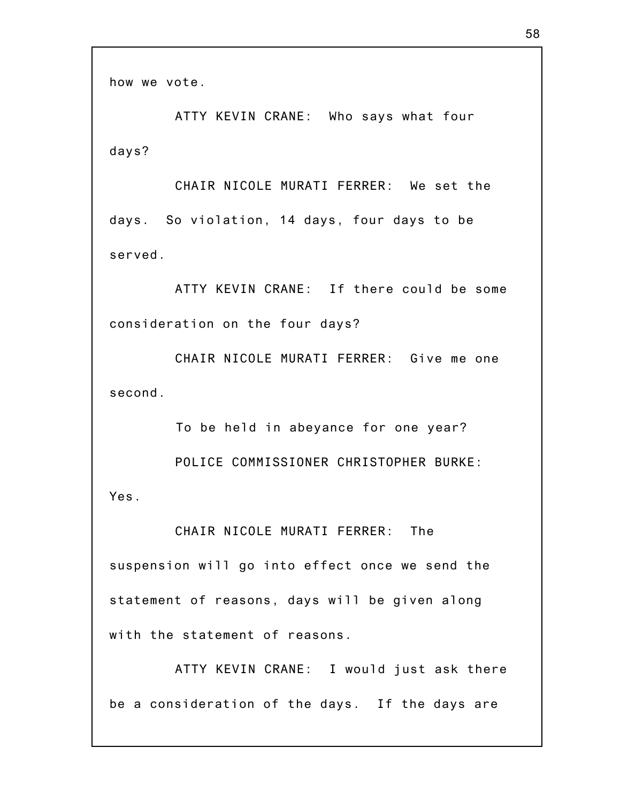how we vote.

ATTY KEVIN CRANE: Who says what four days?

CHAIR NICOLE MURATI FERRER: We set the days. So violation, 14 days, four days to be served.

ATTY KEVIN CRANE: If there could be some consideration on the four days?

CHAIR NICOLE MURATI FERRER: Give me one second.

To be held in abeyance for one year? POLICE COMMISSIONER CHRISTOPHER BURKE: Yes.

CHAIR NICOLE MURATI FERRER: The suspension will go into effect once we send the statement of reasons, days will be given along with the statement of reasons.

ATTY KEVIN CRANE: I would just ask there be a consideration of the days. If the days are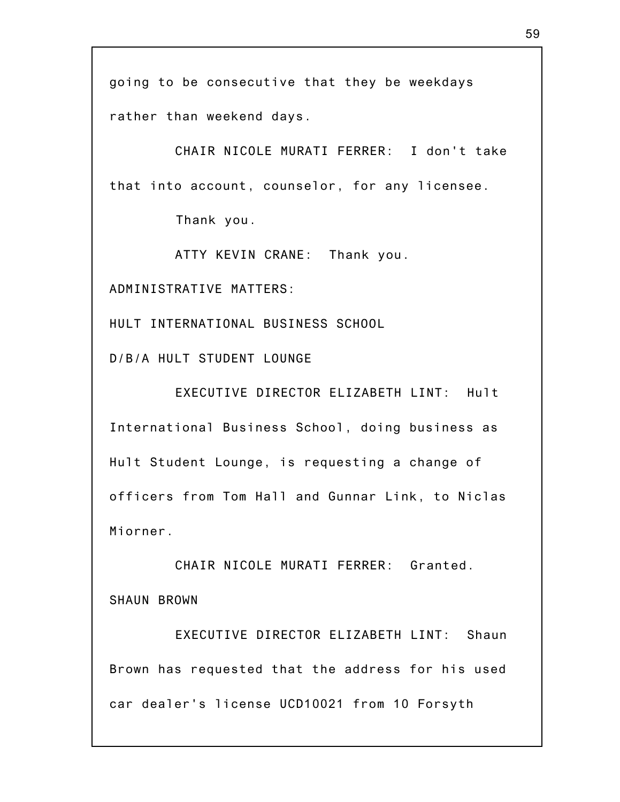going to be consecutive that they be weekdays rather than weekend days.

CHAIR NICOLE MURATI FERRER: I don't take that into account, counselor, for any licensee.

Thank you.

ATTY KEVIN CRANE: Thank you.

ADMINISTRATIVE MATTERS:

HULT INTERNATIONAL BUSINESS SCHOOL

D/B/A HULT STUDENT LOUNGE

EXECUTIVE DIRECTOR ELIZABETH LINT: Hult International Business School, doing business as Hult Student Lounge, is requesting a change of officers from Tom Hall and Gunnar Link, to Niclas Miorner.

CHAIR NICOLE MURATI FERRER: Granted. SHAUN BROWN

EXECUTIVE DIRECTOR ELIZABETH LINT: Shaun Brown has requested that the address for his used car dealer's license UCD10021 from 10 Forsyth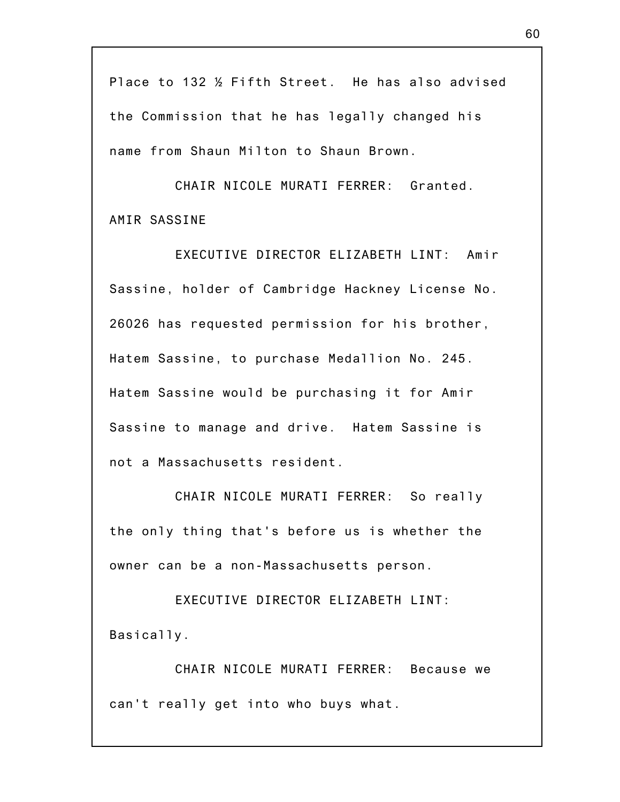Place to 132 ½ Fifth Street. He has also advised the Commission that he has legally changed his name from Shaun Milton to Shaun Brown.

CHAIR NICOLE MURATI FERRER: Granted. AMIR SASSINE

EXECUTIVE DIRECTOR ELIZABETH LINT: Amir Sassine, holder of Cambridge Hackney License No. 26026 has requested permission for his brother, Hatem Sassine, to purchase Medallion No. 245. Hatem Sassine would be purchasing it for Amir Sassine to manage and drive. Hatem Sassine is not a Massachusetts resident.

CHAIR NICOLE MURATI FERRER: So really the only thing that's before us is whether the owner can be a non-Massachusetts person.

EXECUTIVE DIRECTOR ELIZABETH LINT: Basically.

CHAIR NICOLE MURATI FERRER: Because we can't really get into who buys what.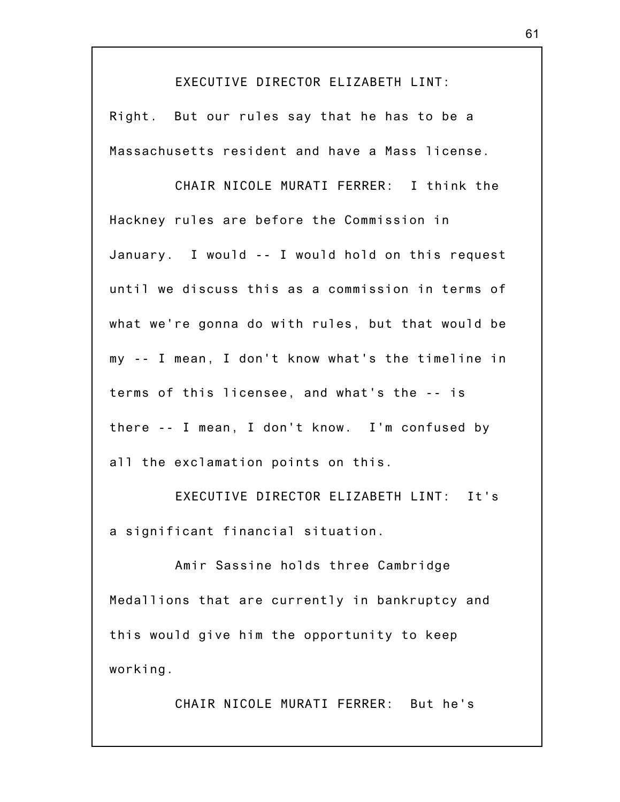EXECUTIVE DIRECTOR ELIZABETH LINT:

Right. But our rules say that he has to be a Massachusetts resident and have a Mass license.

CHAIR NICOLE MURATI FERRER: I think the Hackney rules are before the Commission in January. I would -- I would hold on this request until we discuss this as a commission in terms of what we're gonna do with rules, but that would be my -- I mean, I don't know what's the timeline in terms of this licensee, and what's the -- is there -- I mean, I don't know. I'm confused by all the exclamation points on this.

EXECUTIVE DIRECTOR ELIZABETH LINT: It's a significant financial situation.

Amir Sassine holds three Cambridge Medallions that are currently in bankruptcy and this would give him the opportunity to keep working.

CHAIR NICOLE MURATI FERRER: But he's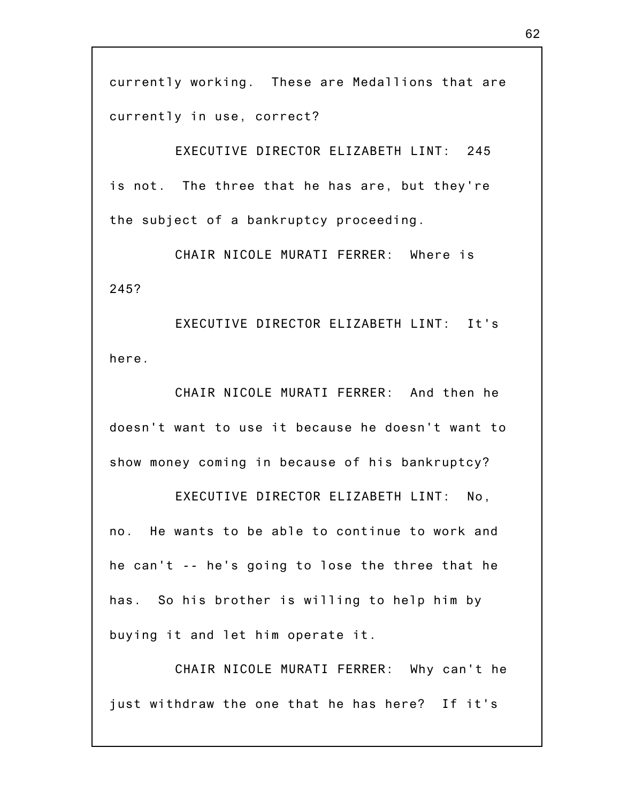currently working. These are Medallions that are currently in use, correct?

EXECUTIVE DIRECTOR ELIZABETH LINT: 245 is not. The three that he has are, but they're the subject of a bankruptcy proceeding.

CHAIR NICOLE MURATI FERRER: Where is 245?

EXECUTIVE DIRECTOR ELIZABETH LINT: It's here.

CHAIR NICOLE MURATI FERRER: And then he doesn't want to use it because he doesn't want to show money coming in because of his bankruptcy?

EXECUTIVE DIRECTOR ELIZABETH LINT: No, no. He wants to be able to continue to work and he can't -- he's going to lose the three that he has. So his brother is willing to help him by buying it and let him operate it.

CHAIR NICOLE MURATI FERRER: Why can't he just withdraw the one that he has here? If it's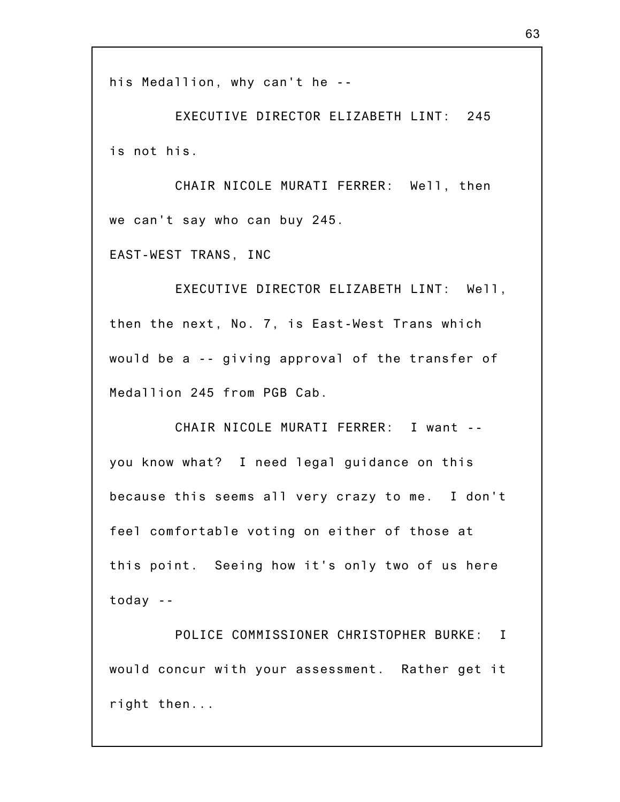his Medallion, why can't he --

EXECUTIVE DIRECTOR ELIZABETH LINT: 245 is not his.

CHAIR NICOLE MURATI FERRER: Well, then we can't say who can buy 245.

EAST-WEST TRANS, INC

EXECUTIVE DIRECTOR ELIZABETH LINT: Well, then the next, No. 7, is East-West Trans which would be a -- giving approval of the transfer of Medallion 245 from PGB Cab.

CHAIR NICOLE MURATI FERRER: I want - you know what? I need legal guidance on this because this seems all very crazy to me. I don't feel comfortable voting on either of those at this point. Seeing how it's only two of us here today --

POLICE COMMISSIONER CHRISTOPHER BURKE: I would concur with your assessment. Rather get it right then...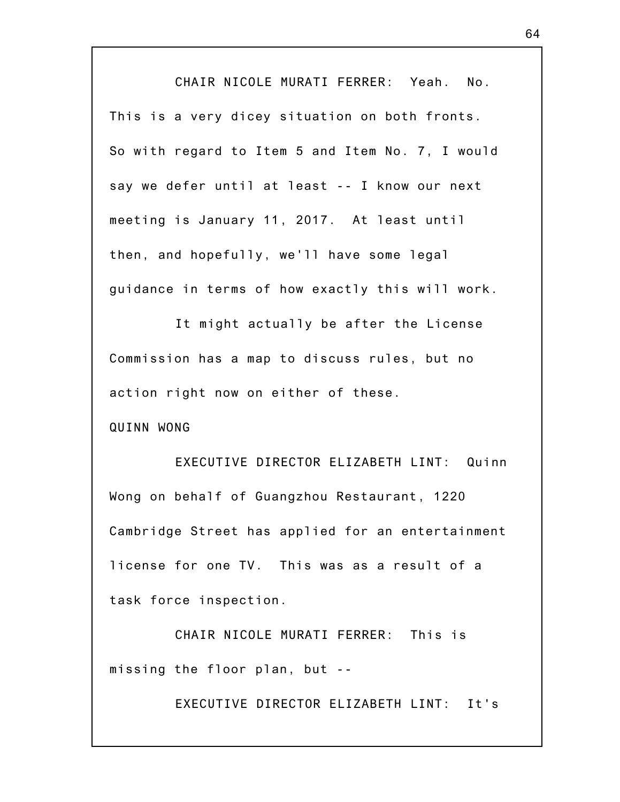CHAIR NICOLE MURATI FERRER: Yeah. No. This is a very dicey situation on both fronts. So with regard to Item 5 and Item No. 7, I would say we defer until at least -- I know our next meeting is January 11, 2017. At least until then, and hopefully, we'll have some legal guidance in terms of how exactly this will work.

It might actually be after the License Commission has a map to discuss rules, but no action right now on either of these.

QUINN WONG

EXECUTIVE DIRECTOR ELIZABETH LINT: Quinn Wong on behalf of Guangzhou Restaurant, 1220 Cambridge Street has applied for an entertainment license for one TV. This was as a result of a task force inspection.

CHAIR NICOLE MURATI FERRER: This is missing the floor plan, but --

EXECUTIVE DIRECTOR ELIZABETH LINT: It's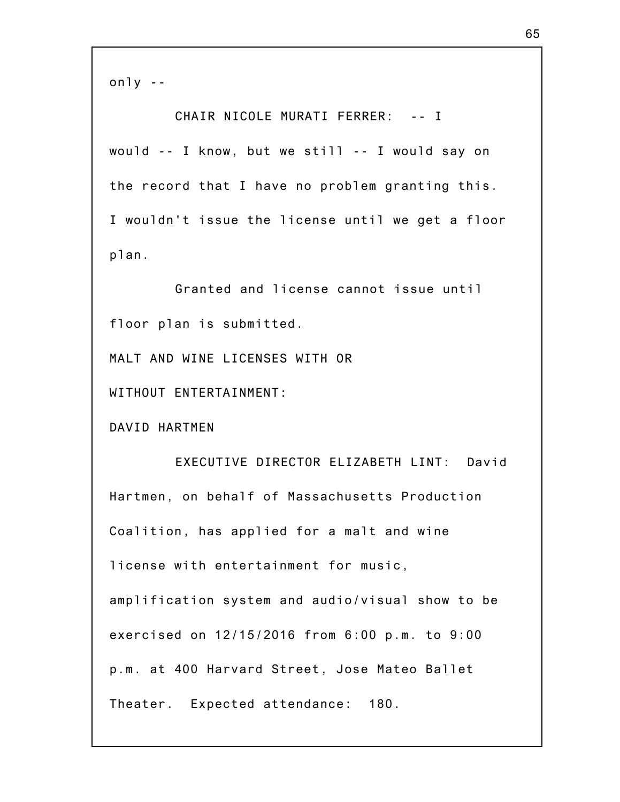only --

CHAIR NICOLE MURATI FERRER: -- I would -- I know, but we still -- I would say on the record that I have no problem granting this. I wouldn't issue the license until we get a floor plan.

Granted and license cannot issue until floor plan is submitted.

MALT AND WINE LICENSES WITH OR

WITHOUT ENTERTAINMENT:

DAVID HARTMEN

EXECUTIVE DIRECTOR ELIZABETH LINT: David Hartmen, on behalf of Massachusetts Production Coalition, has applied for a malt and wine license with entertainment for music, amplification system and audio/visual show to be exercised on 12/15/2016 from 6:00 p.m. to 9:00 p.m. at 400 Harvard Street, Jose Mateo Ballet Theater. Expected attendance: 180.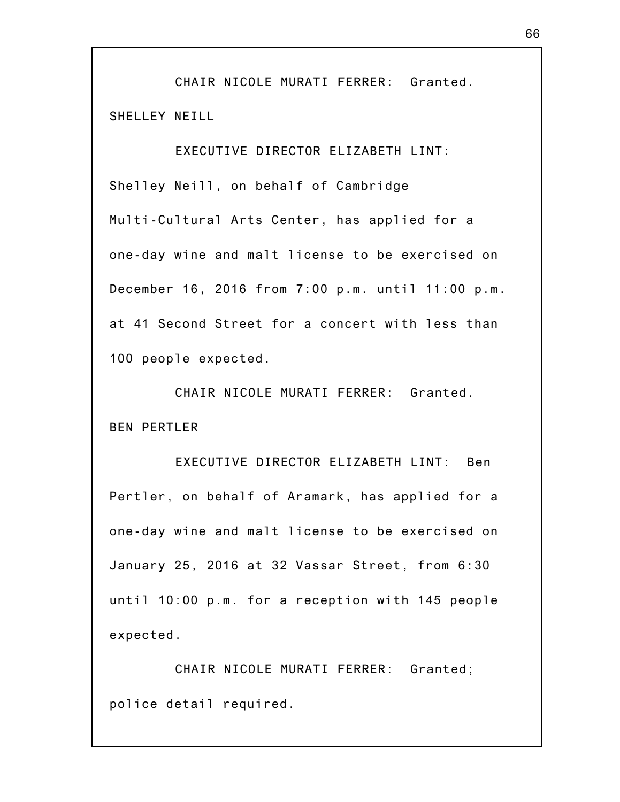CHAIR NICOLE MURATI FERRER: Granted. SHELLEY NEILL

EXECUTIVE DIRECTOR ELIZABETH LINT: Shelley Neill, on behalf of Cambridge Multi-Cultural Arts Center, has applied for a one-day wine and malt license to be exercised on December 16, 2016 from 7:00 p.m. until 11:00 p.m. at 41 Second Street for a concert with less than 100 people expected.

CHAIR NICOLE MURATI FERRER: Granted. BEN PERTLER

EXECUTIVE DIRECTOR ELIZABETH LINT: Ben Pertler, on behalf of Aramark, has applied for a one-day wine and malt license to be exercised on January 25, 2016 at 32 Vassar Street, from 6:30 until 10:00 p.m. for a reception with 145 people expected.

CHAIR NICOLE MURATI FERRER: Granted; police detail required.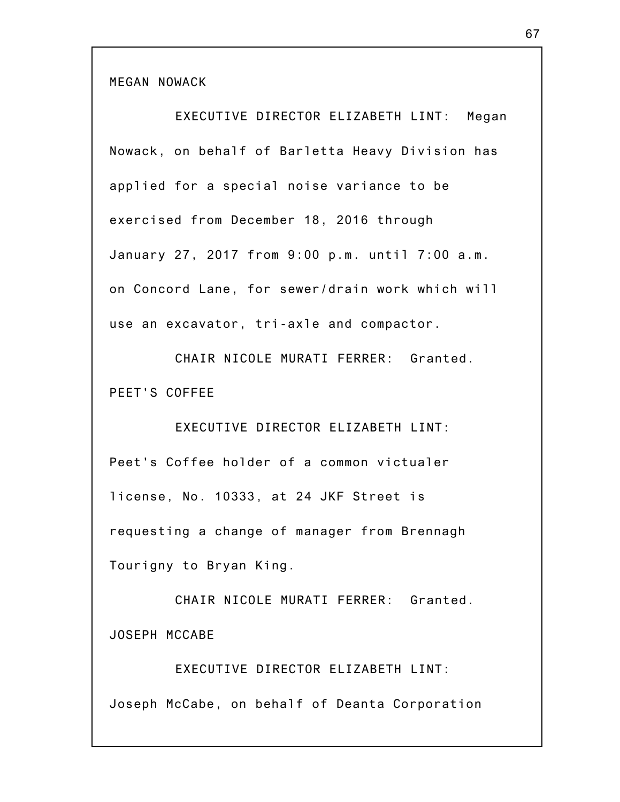MEGAN NOWACK

EXECUTIVE DIRECTOR ELIZABETH LINT: Megan Nowack, on behalf of Barletta Heavy Division has applied for a special noise variance to be exercised from December 18, 2016 through January 27, 2017 from 9:00 p.m. until 7:00 a.m. on Concord Lane, for sewer/drain work which will use an excavator, tri-axle and compactor.

CHAIR NICOLE MURATI FERRER: Granted. PEET'S COFFEE

EXECUTIVE DIRECTOR ELIZABETH LINT: Peet's Coffee holder of a common victualer license, No. 10333, at 24 JKF Street is requesting a change of manager from Brennagh Tourigny to Bryan King.

CHAIR NICOLE MURATI FERRER: Granted. JOSEPH MCCABE

EXECUTIVE DIRECTOR ELIZABETH LINT: Joseph McCabe, on behalf of Deanta Corporation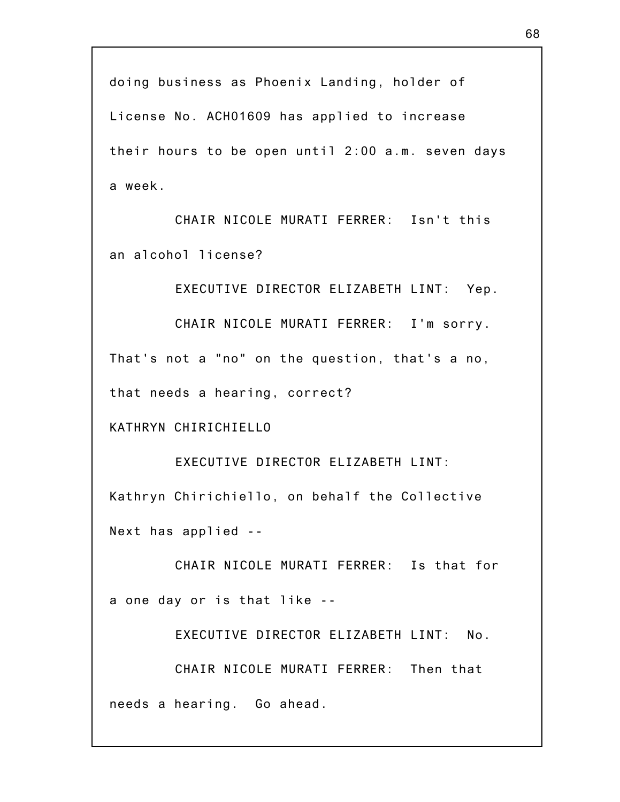doing business as Phoenix Landing, holder of License No. ACH01609 has applied to increase their hours to be open until 2:00 a.m. seven days a week.

CHAIR NICOLE MURATI FERRER: Isn't this an alcohol license?

EXECUTIVE DIRECTOR ELIZABETH LINT: Yep.

CHAIR NICOLE MURATI FERRER: I'm sorry. That's not a "no" on the question, that's a no, that needs a hearing, correct?

KATHRYN CHIRICHIELLO

EXECUTIVE DIRECTOR ELIZABETH LINT: Kathryn Chirichiello, on behalf the Collective Next has applied --

CHAIR NICOLE MURATI FERRER: Is that for a one day or is that like --

EXECUTIVE DIRECTOR ELIZABETH LINT: No.

CHAIR NICOLE MURATI FERRER: Then that needs a hearing. Go ahead.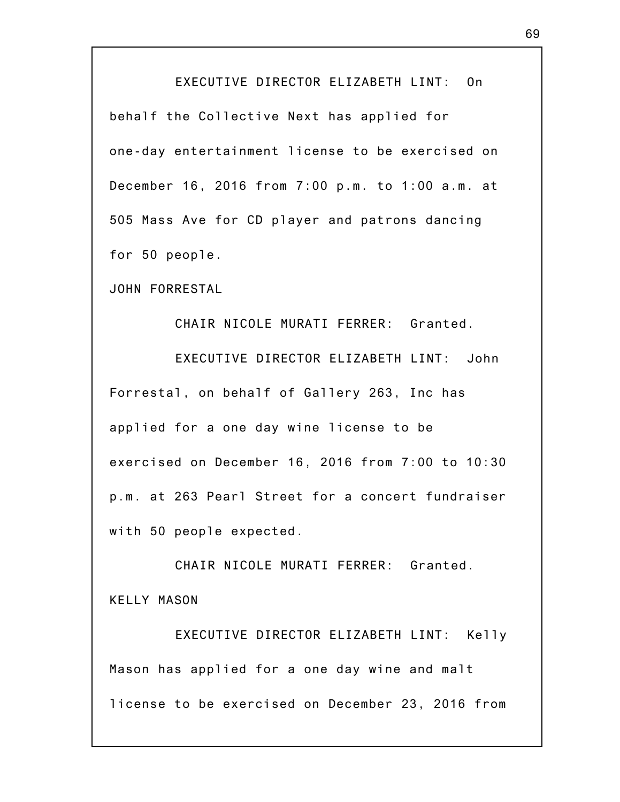## EXECUTIVE DIRECTOR ELIZABETH LINT: On

behalf the Collective Next has applied for one-day entertainment license to be exercised on December 16, 2016 from 7:00 p.m. to 1:00 a.m. at 505 Mass Ave for CD player and patrons dancing for 50 people.

JOHN FORRESTAL

CHAIR NICOLE MURATI FERRER: Granted.

EXECUTIVE DIRECTOR ELIZABETH LINT: John Forrestal, on behalf of Gallery 263, Inc has applied for a one day wine license to be exercised on December 16, 2016 from 7:00 to 10:30 p.m. at 263 Pearl Street for a concert fundraiser with 50 people expected.

CHAIR NICOLE MURATI FERRER: Granted. KELLY MASON

EXECUTIVE DIRECTOR ELIZABETH LINT: Kelly Mason has applied for a one day wine and malt license to be exercised on December 23, 2016 from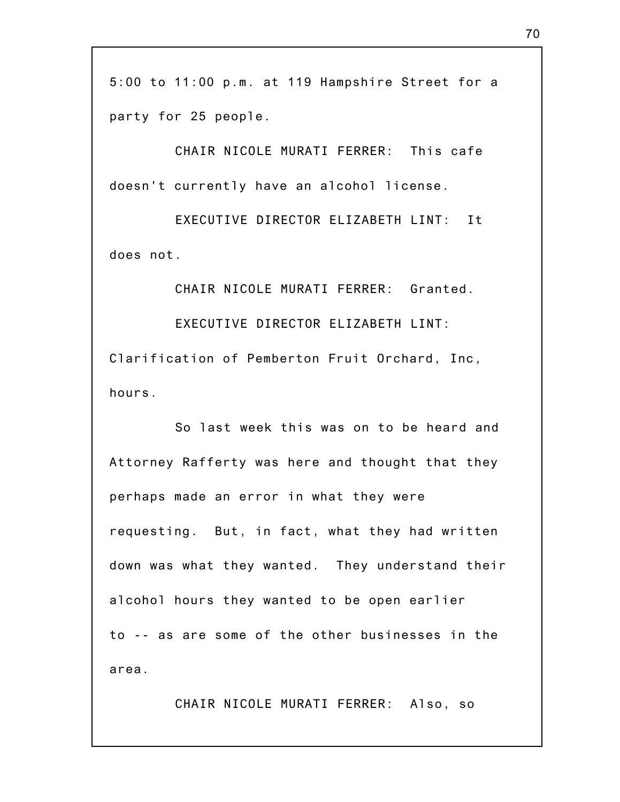5:00 to 11:00 p.m. at 119 Hampshire Street for a party for 25 people.

CHAIR NICOLE MURATI FERRER: This cafe doesn't currently have an alcohol license.

EXECUTIVE DIRECTOR ELIZABETH LINT: It does not.

CHAIR NICOLE MURATI FERRER: Granted. EXECUTIVE DIRECTOR ELIZABETH LINT: Clarification of Pemberton Fruit Orchard, Inc, hours.

So last week this was on to be heard and Attorney Rafferty was here and thought that they perhaps made an error in what they were requesting. But, in fact, what they had written down was what they wanted. They understand their alcohol hours they wanted to be open earlier to -- as are some of the other businesses in the area.

CHAIR NICOLE MURATI FERRER: Also, so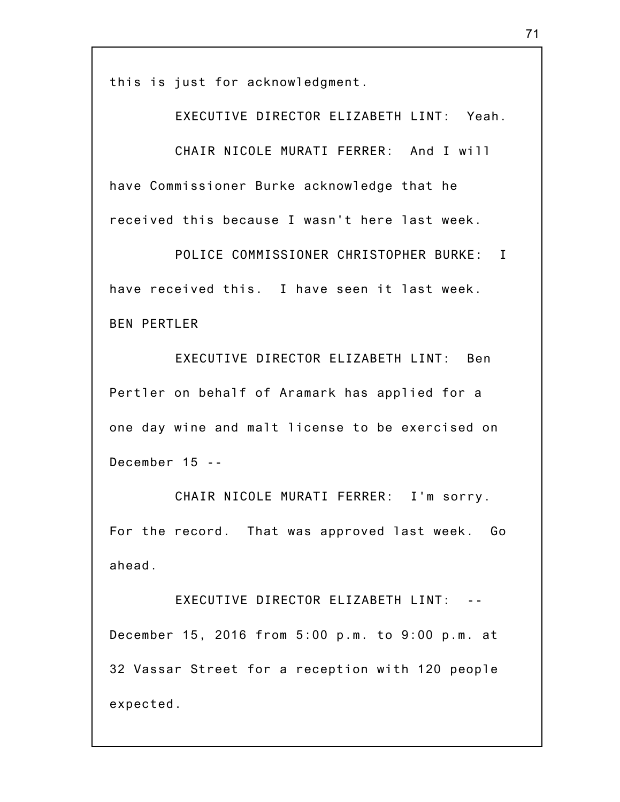this is just for acknowledgment.

EXECUTIVE DIRECTOR ELIZABETH LINT: Yeah. CHAIR NICOLE MURATI FERRER: And I will have Commissioner Burke acknowledge that he received this because I wasn't here last week.

POLICE COMMISSIONER CHRISTOPHER BURKE: I have received this. I have seen it last week. BEN PERTLER

EXECUTIVE DIRECTOR ELIZABETH LINT: Ben Pertler on behalf of Aramark has applied for a one day wine and malt license to be exercised on December 15 --

CHAIR NICOLE MURATI FERRER: I'm sorry. For the record. That was approved last week. Go ahead.

EXECUTIVE DIRECTOR ELIZABETH LINT: December 15, 2016 from 5:00 p.m. to 9:00 p.m. at 32 Vassar Street for a reception with 120 people expected.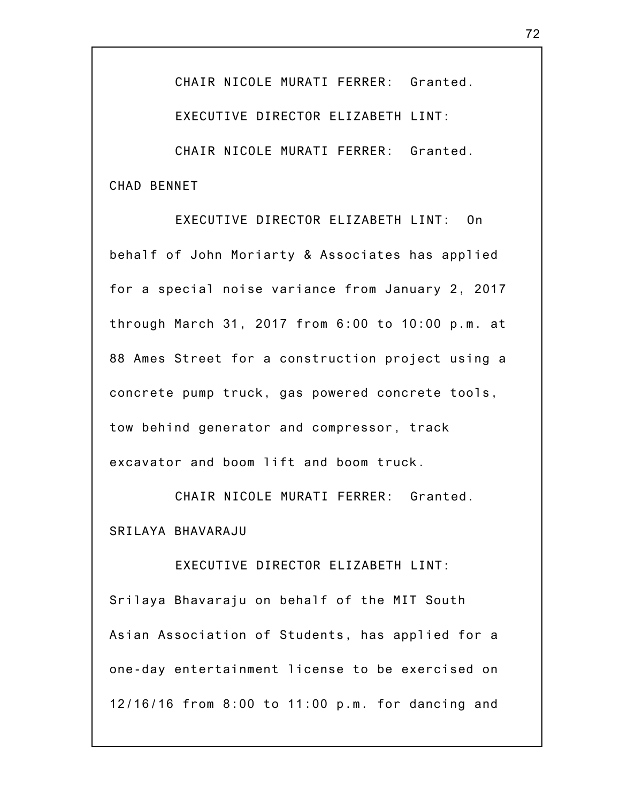CHAIR NICOLE MURATI FERRER: Granted.

EXECUTIVE DIRECTOR ELIZABETH LINT:

CHAIR NICOLE MURATI FERRER: Granted. CHAD BENNET

EXECUTIVE DIRECTOR ELIZABETH LINT: On behalf of John Moriarty & Associates has applied for a special noise variance from January 2, 2017 through March 31, 2017 from 6:00 to 10:00 p.m. at 88 Ames Street for a construction project using a concrete pump truck, gas powered concrete tools, tow behind generator and compressor, track excavator and boom lift and boom truck.

CHAIR NICOLE MURATI FERRER: Granted. SRILAYA BHAVARAJU

EXECUTIVE DIRECTOR ELIZABETH LINT: Srilaya Bhavaraju on behalf of the MIT South Asian Association of Students, has applied for a one-day entertainment license to be exercised on 12/16/16 from 8:00 to 11:00 p.m. for dancing and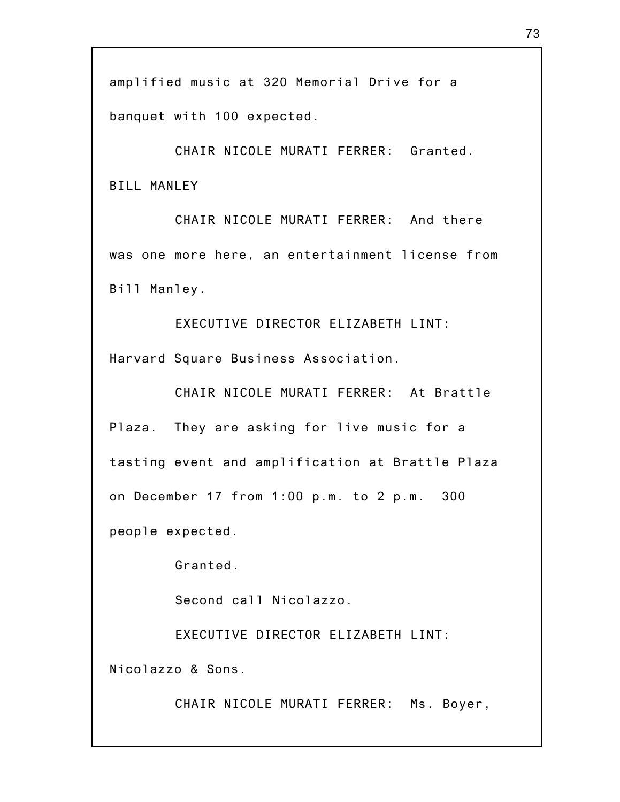banquet with 100 expected.

CHAIR NICOLE MURATI FERRER: Granted. BILL MANLEY

CHAIR NICOLE MURATI FERRER: And there was one more here, an entertainment license from Bill Manley.

EXECUTIVE DIRECTOR ELIZABETH LINT: Harvard Square Business Association.

CHAIR NICOLE MURATI FERRER: At Brattle Plaza. They are asking for live music for a tasting event and amplification at Brattle Plaza on December 17 from 1:00 p.m. to 2 p.m. 300 people expected.

Granted.

Second call Nicolazzo.

EXECUTIVE DIRECTOR ELIZABETH LINT: Nicolazzo & Sons.

CHAIR NICOLE MURATI FERRER: Ms. Boyer,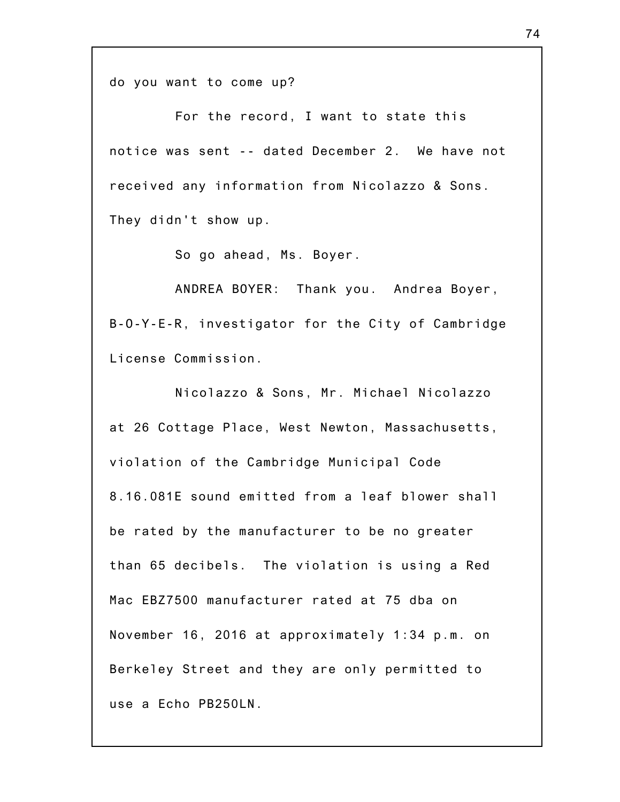do you want to come up?

For the record, I want to state this notice was sent -- dated December 2. We have not received any information from Nicolazzo & Sons. They didn't show up.

So go ahead, Ms. Boyer.

ANDREA BOYER: Thank you. Andrea Boyer, B-O-Y-E-R, investigator for the City of Cambridge License Commission.

Nicolazzo & Sons, Mr. Michael Nicolazzo at 26 Cottage Place, West Newton, Massachusetts, violation of the Cambridge Municipal Code 8.16.081E sound emitted from a leaf blower shall be rated by the manufacturer to be no greater than 65 decibels. The violation is using a Red Mac EBZ7500 manufacturer rated at 75 dba on November 16, 2016 at approximately 1:34 p.m. on Berkeley Street and they are only permitted to use a Echo PB250LN.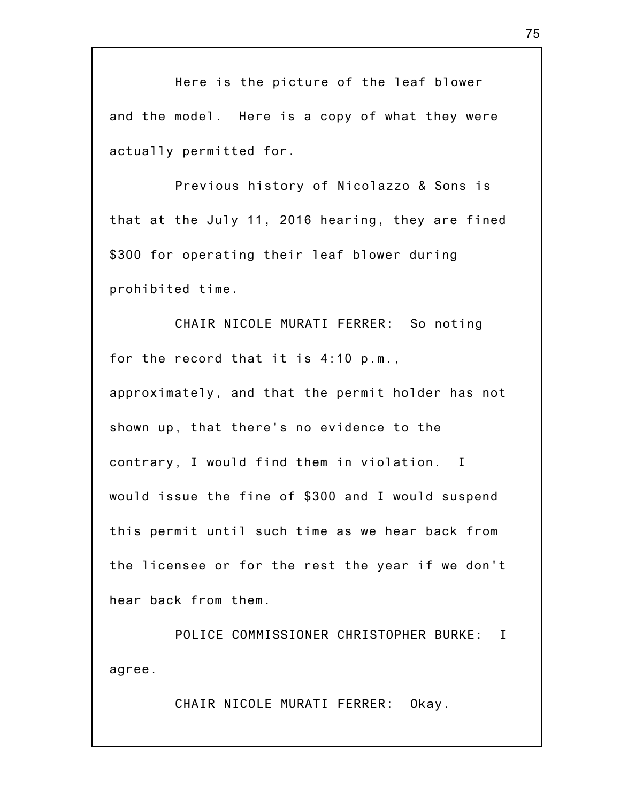Here is the picture of the leaf blower and the model. Here is a copy of what they were actually permitted for.

Previous history of Nicolazzo & Sons is that at the July 11, 2016 hearing, they are fined \$300 for operating their leaf blower during prohibited time.

CHAIR NICOLE MURATI FERRER: So noting for the record that it is 4:10 p.m., approximately, and that the permit holder has not shown up, that there's no evidence to the contrary, I would find them in violation. I would issue the fine of \$300 and I would suspend this permit until such time as we hear back from the licensee or for the rest the year if we don't hear back from them.

POLICE COMMISSIONER CHRISTOPHER BURKE: I agree.

CHAIR NICOLE MURATI FERRER: Okay.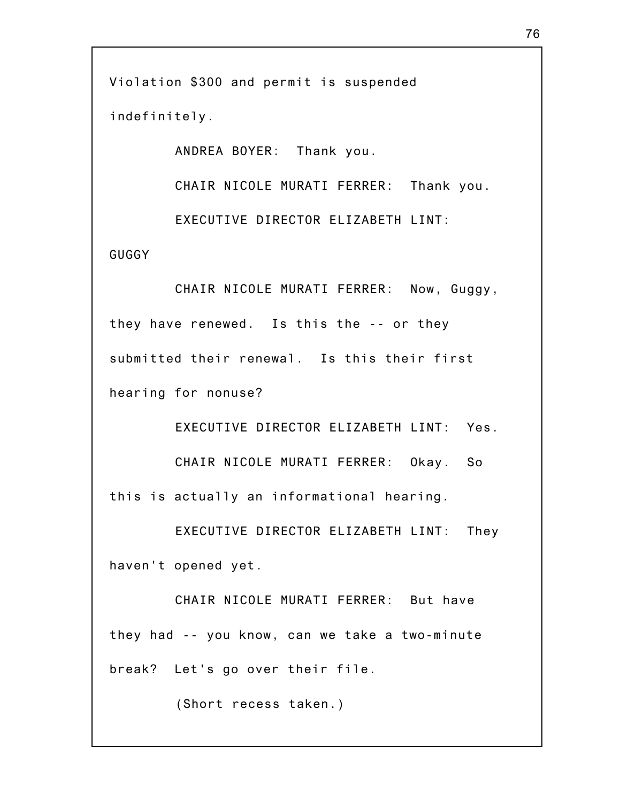Violation \$300 and permit is suspended indefinitely.

ANDREA BOYER: Thank you.

CHAIR NICOLE MURATI FERRER: Thank you.

EXECUTIVE DIRECTOR ELIZABETH LINT:

GUGGY

CHAIR NICOLE MURATI FERRER: Now, Guggy, they have renewed. Is this the -- or they submitted their renewal. Is this their first hearing for nonuse?

EXECUTIVE DIRECTOR ELIZABETH LINT: Yes. CHAIR NICOLE MURATI FERRER: Okay. So this is actually an informational hearing.

EXECUTIVE DIRECTOR ELIZABETH LINT: They haven't opened yet.

CHAIR NICOLE MURATI FERRER: But have they had -- you know, can we take a two-minute break? Let's go over their file.

(Short recess taken.)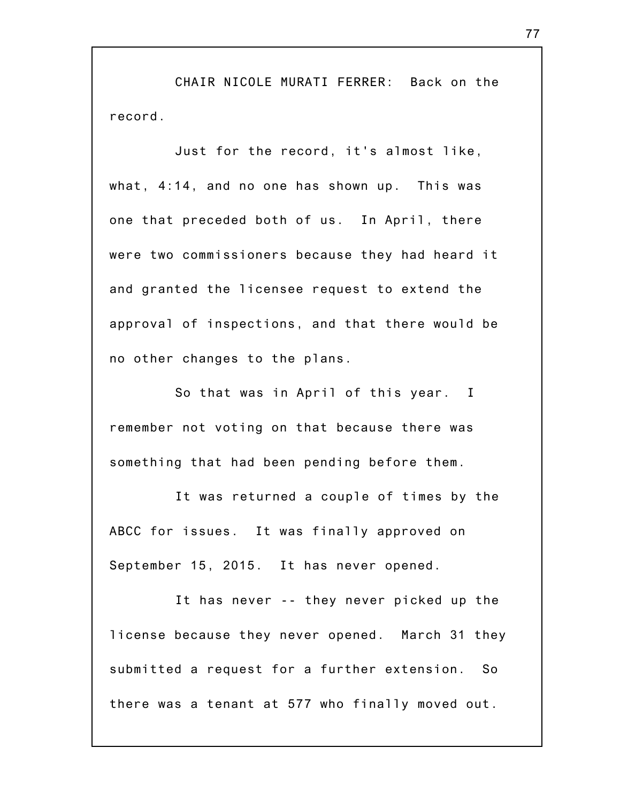CHAIR NICOLE MURATI FERRER: Back on the record.

Just for the record, it's almost like, what, 4:14, and no one has shown up. This was one that preceded both of us. In April, there were two commissioners because they had heard it and granted the licensee request to extend the approval of inspections, and that there would be no other changes to the plans.

So that was in April of this year. I remember not voting on that because there was something that had been pending before them.

It was returned a couple of times by the ABCC for issues. It was finally approved on September 15, 2015. It has never opened.

It has never -- they never picked up the license because they never opened. March 31 they submitted a request for a further extension. So there was a tenant at 577 who finally moved out.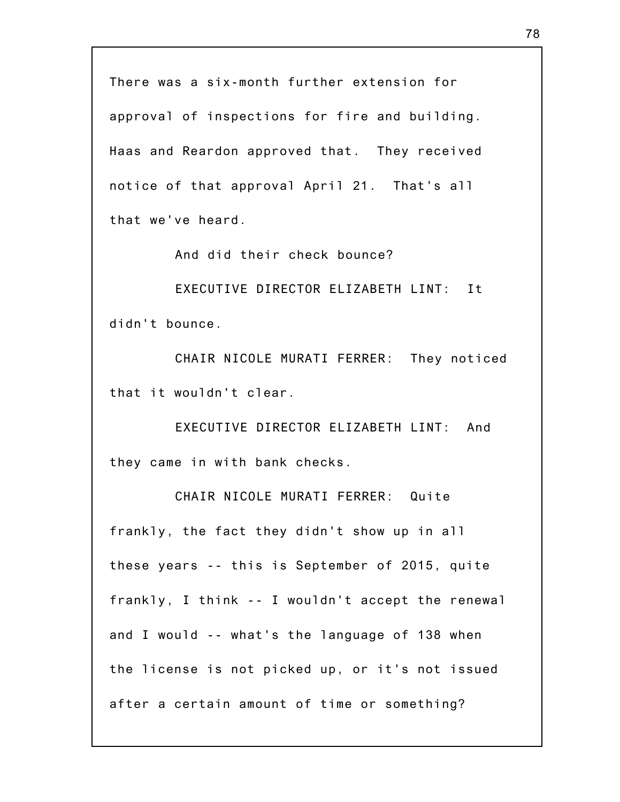There was a six-month further extension for approval of inspections for fire and building. Haas and Reardon approved that. They received notice of that approval April 21. That's all that we've heard.

And did their check bounce?

EXECUTIVE DIRECTOR ELIZABETH LINT: It didn't bounce.

CHAIR NICOLE MURATI FERRER: They noticed that it wouldn't clear.

EXECUTIVE DIRECTOR ELIZABETH LINT: And they came in with bank checks.

CHAIR NICOLE MURATI FERRER: Quite frankly, the fact they didn't show up in all these years -- this is September of 2015, quite frankly, I think -- I wouldn't accept the renewal and I would -- what's the language of 138 when the license is not picked up, or it's not issued after a certain amount of time or something?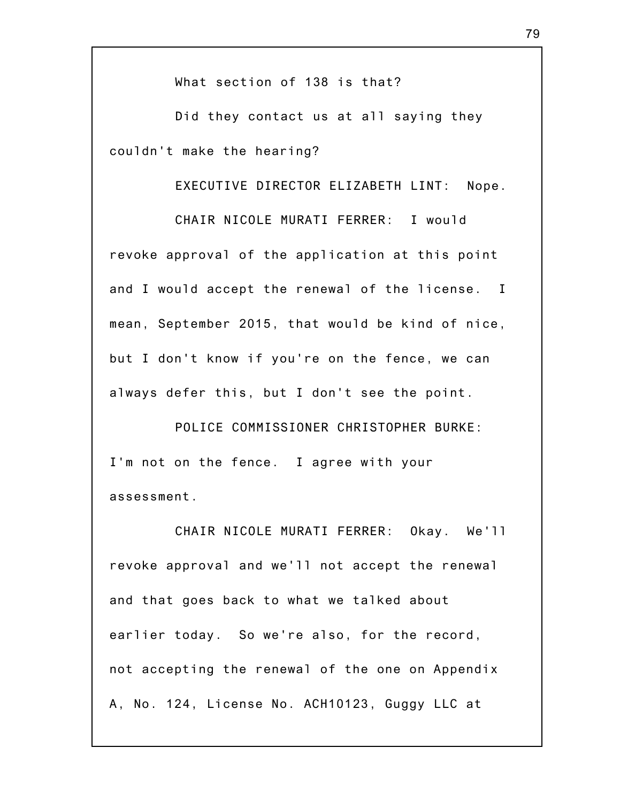What section of 138 is that?

Did they contact us at all saying they couldn't make the hearing?

EXECUTIVE DIRECTOR ELIZABETH LINT: Nope.

CHAIR NICOLE MURATI FERRER: I would revoke approval of the application at this point and I would accept the renewal of the license. I mean, September 2015, that would be kind of nice, but I don't know if you're on the fence, we can always defer this, but I don't see the point.

POLICE COMMISSIONER CHRISTOPHER BURKE: I'm not on the fence. I agree with your assessment.

CHAIR NICOLE MURATI FERRER: Okay. We'll revoke approval and we'll not accept the renewal and that goes back to what we talked about earlier today. So we're also, for the record, not accepting the renewal of the one on Appendix A, No. 124, License No. ACH10123, Guggy LLC at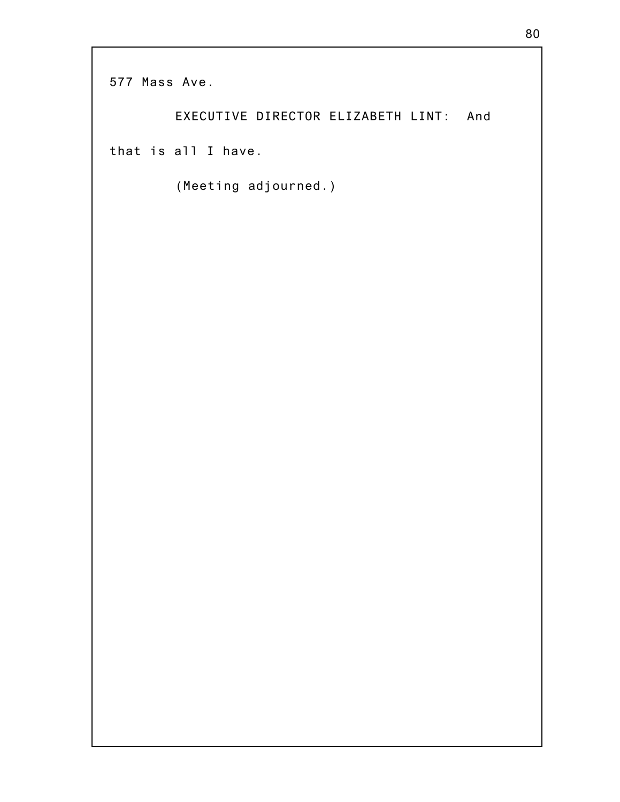577 Mass Ave.

EXECUTIVE DIRECTOR ELIZABETH LINT: And that is all I have.

(Meeting adjourned.)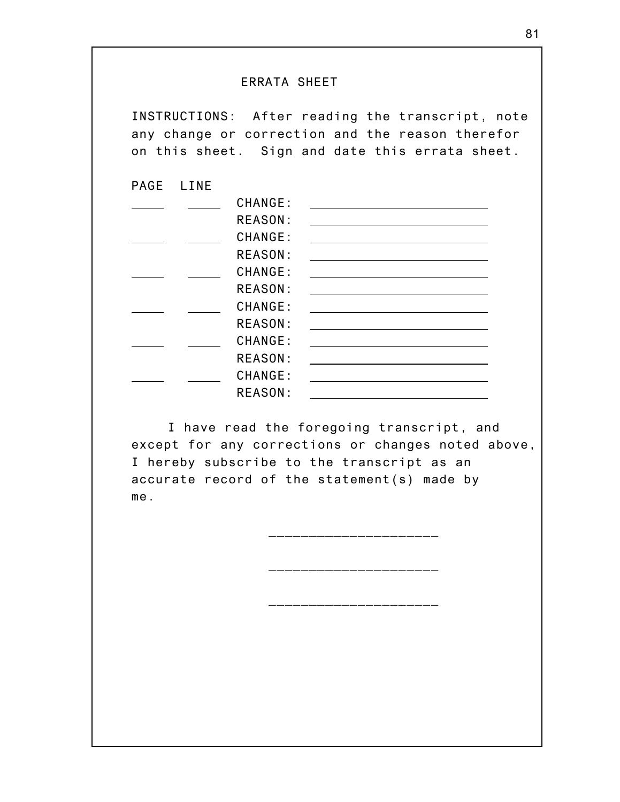## ERRATA SHEET

INSTRUCTIONS: After reading the transcript, note any change or correction and the reason therefor on this sheet. Sign and date this errata sheet.

PAGE LINE

| CHANGE:        |  |
|----------------|--|
| <b>REASON:</b> |  |
| CHANGE:        |  |
| <b>REASON:</b> |  |
| CHANGE:        |  |
| <b>REASON:</b> |  |
| CHANGE:        |  |
| <b>REASON:</b> |  |
| CHANGE:        |  |
| <b>REASON:</b> |  |
| CHANGE:        |  |
| <b>REASON:</b> |  |
|                |  |

I have read the foregoing transcript, and except for any corrections or changes noted above, I hereby subscribe to the transcript as an accurate record of the statement(s) made by me.

\_\_\_\_\_\_\_\_\_\_\_\_\_\_\_\_\_\_\_\_\_

\_\_\_\_\_\_\_\_\_\_\_\_\_\_\_\_\_\_\_\_\_

\_\_\_\_\_\_\_\_\_\_\_\_\_\_\_\_\_\_\_\_\_\_\_\_\_